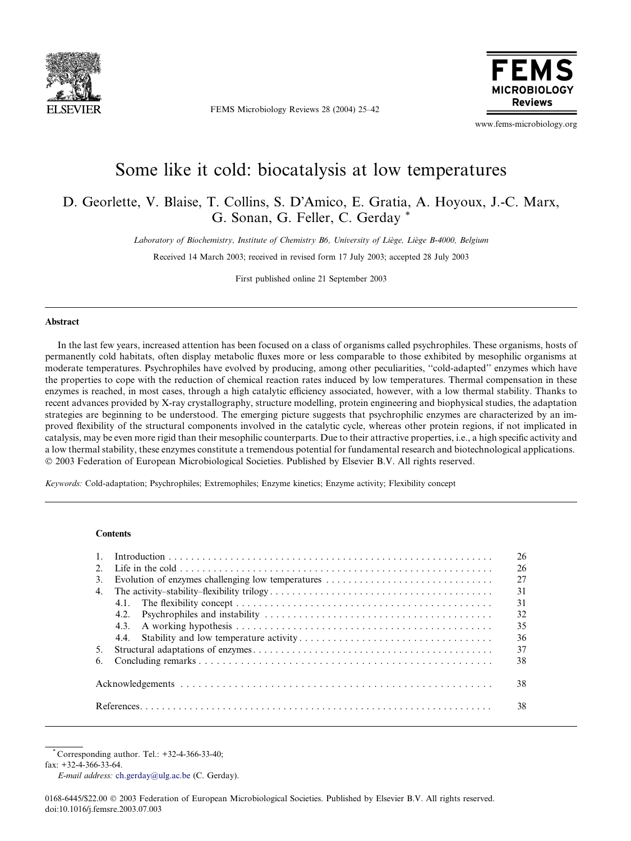

FEMS Microbiology Reviews 28 (2004) 25–42



www.fems-microbiology.org

# Some like it cold: biocatalysis at low temperatures

# D. Georlette, V. Blaise, T. Collins, S. D'Amico, E. Gratia, A. Hoyoux, J.-C. Marx, G. Sonan, G. Feller, C. Gerday \*

Laboratory of Biochemistry, Institute of Chemistry B6, University of Liege, Liege B-4000, Belgium

Received 14 March 2003; received in revised form 17 July 2003; accepted 28 July 2003

First published online 21 September 2003

#### Abstract

In the last few years, increased attention has been focused on a class of organisms called psychrophiles. These organisms, hosts of permanently cold habitats, often display metabolic fluxes more or less comparable to those exhibited by mesophilic organisms at moderate temperatures. Psychrophiles have evolved by producing, among other peculiarities, ''cold-adapted'' enzymes which have the properties to cope with the reduction of chemical reaction rates induced by low temperatures. Thermal compensation in these enzymes is reached, in most cases, through a high catalytic efficiency associated, however, with a low thermal stability. Thanks to recent advances provided by X-ray crystallography, structure modelling, protein engineering and biophysical studies, the adaptation strategies are beginning to be understood. The emerging picture suggests that psychrophilic enzymes are characterized by an improved flexibility of the structural components involved in the catalytic cycle, whereas other protein regions, if not implicated in catalysis, may be even more rigid than their mesophilic counterparts. Due to their attractive properties, i.e., a high specific activity and a low thermal stability, these enzymes constitute a tremendous potential for fundamental research and biotechnological applications. 2003 Federation of European Microbiological Societies. Published by Elsevier B.V. All rights reserved.

Keywords: Cold-adaptation; Psychrophiles; Extremophiles; Enzyme kinetics; Enzyme activity; Flexibility concept

#### **Contents**

| 3. | Evolution of enzymes challenging low temperatures |    |  |  |  |  |  |  |  |  |  |
|----|---------------------------------------------------|----|--|--|--|--|--|--|--|--|--|
| 4. |                                                   | 31 |  |  |  |  |  |  |  |  |  |
|    | 4.1.                                              | 31 |  |  |  |  |  |  |  |  |  |
|    | 4.2.                                              | 32 |  |  |  |  |  |  |  |  |  |
|    |                                                   | 35 |  |  |  |  |  |  |  |  |  |
|    | 4.4.                                              | 36 |  |  |  |  |  |  |  |  |  |
| 5. |                                                   | 37 |  |  |  |  |  |  |  |  |  |
| 6. |                                                   | 38 |  |  |  |  |  |  |  |  |  |
|    |                                                   |    |  |  |  |  |  |  |  |  |  |
|    |                                                   |    |  |  |  |  |  |  |  |  |  |

Corresponding author. Tel.: +32-4-366-33-40;

fax: +32-4-366-33-64.

E-mail address: [ch.gerday@ulg.ac.be](mail to: ch.gerday@ulg.ac.be) (C. Gerday).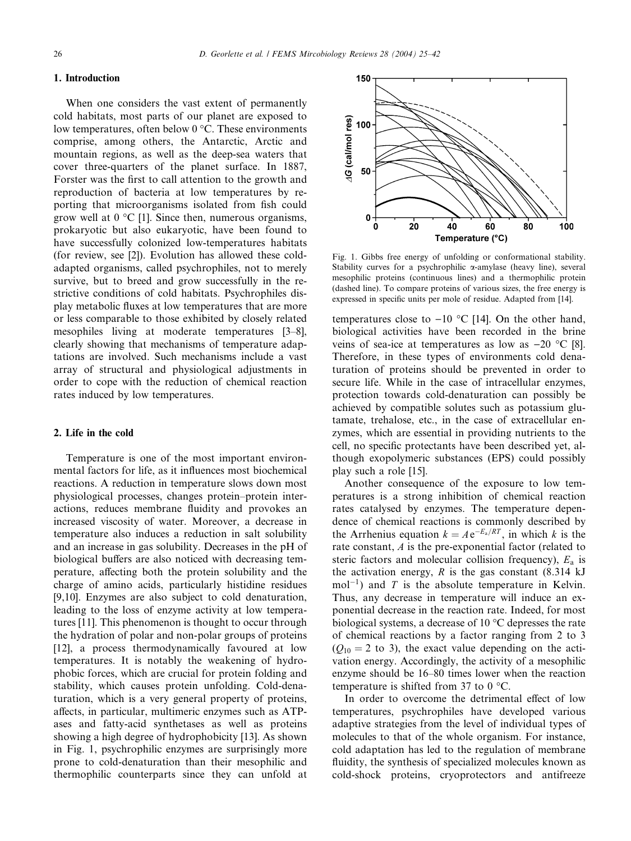## 1. Introduction

When one considers the vast extent of permanently cold habitats, most parts of our planet are exposed to low temperatures, often below  $0^{\circ}$ C. These environments comprise, among others, the Antarctic, Arctic and mountain regions, as well as the deep-sea waters that cover three-quarters of the planet surface. In 1887, Forster was the first to call attention to the growth and reproduction of bacteria at low temperatures by reporting that microorganisms isolated from fish could grow well at  $0 °C$  [1]. Since then, numerous organisms, prokaryotic but also eukaryotic, have been found to have successfully colonized low-temperatures habitats (for review, see [2]). Evolution has allowed these coldadapted organisms, called psychrophiles, not to merely survive, but to breed and grow successfully in the restrictive conditions of cold habitats. Psychrophiles display metabolic fluxes at low temperatures that are more or less comparable to those exhibited by closely related mesophiles living at moderate temperatures [3–8], clearly showing that mechanisms of temperature adaptations are involved. Such mechanisms include a vast array of structural and physiological adjustments in order to cope with the reduction of chemical reaction rates induced by low temperatures.

#### 2. Life in the cold

Temperature is one of the most important environmental factors for life, as it influences most biochemical reactions. A reduction in temperature slows down most physiological processes, changes protein–protein interactions, reduces membrane fluidity and provokes an increased viscosity of water. Moreover, a decrease in temperature also induces a reduction in salt solubility and an increase in gas solubility. Decreases in the pH of biological buffers are also noticed with decreasing temperature, affecting both the protein solubility and the charge of amino acids, particularly histidine residues [9,10]. Enzymes are also subject to cold denaturation, leading to the loss of enzyme activity at low temperatures [11]. This phenomenon is thought to occur through the hydration of polar and non-polar groups of proteins [12], a process thermodynamically favoured at low temperatures. It is notably the weakening of hydrophobic forces, which are crucial for protein folding and stability, which causes protein unfolding. Cold-denaturation, which is a very general property of proteins, affects, in particular, multimeric enzymes such as ATPases and fatty-acid synthetases as well as proteins showing a high degree of hydrophobicity [13]. As shown in Fig. 1, psychrophilic enzymes are surprisingly more prone to cold-denaturation than their mesophilic and thermophilic counterparts since they can unfold at



Fig. 1. Gibbs free energy of unfolding or conformational stability. Stability curves for a psychrophilic  $\alpha$ -amylase (heavy line), several mesophilic proteins (continuous lines) and a thermophilic protein (dashed line). To compare proteins of various sizes, the free energy is expressed in specific units per mole of residue. Adapted from [14].

temperatures close to  $-10$  °C [14]. On the other hand, biological activities have been recorded in the brine veins of sea-ice at temperatures as low as  $-20$  °C [8]. Therefore, in these types of environments cold denaturation of proteins should be prevented in order to secure life. While in the case of intracellular enzymes, protection towards cold-denaturation can possibly be achieved by compatible solutes such as potassium glutamate, trehalose, etc., in the case of extracellular enzymes, which are essential in providing nutrients to the cell, no specific protectants have been described yet, although exopolymeric substances (EPS) could possibly play such a role [15].

Another consequence of the exposure to low temperatures is a strong inhibition of chemical reaction rates catalysed by enzymes. The temperature dependence of chemical reactions is commonly described by the Arrhenius equation  $k = Ae^{-E_a/RT}$ , in which k is the rate constant, A is the pre-exponential factor (related to steric factors and molecular collision frequency),  $E_a$  is the activation energy,  $R$  is the gas constant (8.314 kJ) mol<sup>-1</sup>) and T is the absolute temperature in Kelvin. Thus, any decrease in temperature will induce an exponential decrease in the reaction rate. Indeed, for most biological systems, a decrease of  $10^{\circ}$ C depresses the rate of chemical reactions by a factor ranging from 2 to 3  $(Q_{10} = 2$  to 3), the exact value depending on the activation energy. Accordingly, the activity of a mesophilic enzyme should be 16–80 times lower when the reaction temperature is shifted from 37 to  $0^{\circ}$ C.

In order to overcome the detrimental effect of low temperatures, psychrophiles have developed various adaptive strategies from the level of individual types of molecules to that of the whole organism. For instance, cold adaptation has led to the regulation of membrane fluidity, the synthesis of specialized molecules known as cold-shock proteins, cryoprotectors and antifreeze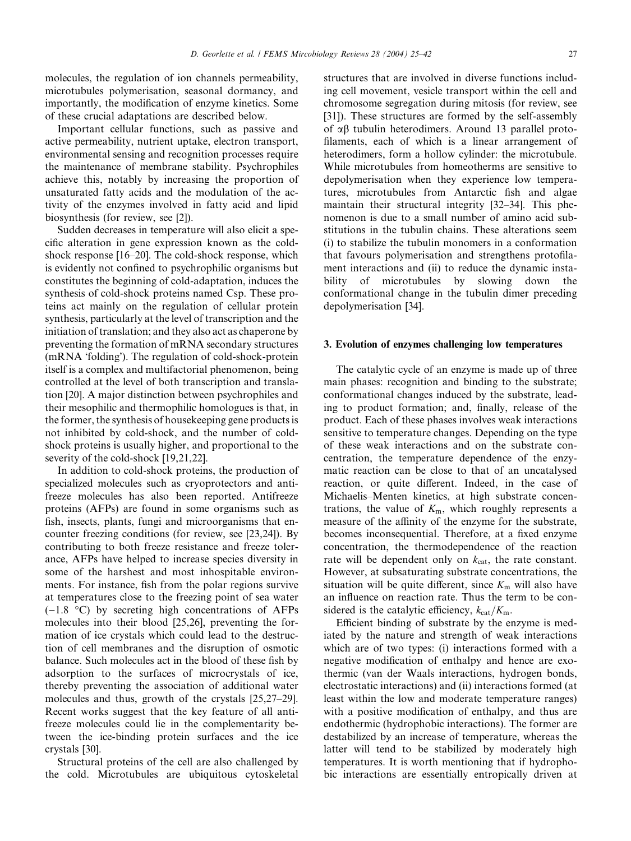molecules, the regulation of ion channels permeability, microtubules polymerisation, seasonal dormancy, and importantly, the modification of enzyme kinetics. Some of these crucial adaptations are described below.

Important cellular functions, such as passive and active permeability, nutrient uptake, electron transport, environmental sensing and recognition processes require the maintenance of membrane stability. Psychrophiles achieve this, notably by increasing the proportion of unsaturated fatty acids and the modulation of the activity of the enzymes involved in fatty acid and lipid biosynthesis (for review, see [2]).

Sudden decreases in temperature will also elicit a specific alteration in gene expression known as the coldshock response [16–20]. The cold-shock response, which is evidently not confined to psychrophilic organisms but constitutes the beginning of cold-adaptation, induces the synthesis of cold-shock proteins named Csp. These proteins act mainly on the regulation of cellular protein synthesis, particularly at the level of transcription and the initiation of translation; and they also act as chaperone by preventing the formation of mRNA secondary structures (mRNA -folding). The regulation of cold-shock-protein itself is a complex and multifactorial phenomenon, being controlled at the level of both transcription and translation [20]. A major distinction between psychrophiles and their mesophilic and thermophilic homologues is that, in the former, the synthesis of housekeeping gene products is not inhibited by cold-shock, and the number of coldshock proteins is usually higher, and proportional to the severity of the cold-shock [19,21,22].

In addition to cold-shock proteins, the production of specialized molecules such as cryoprotectors and antifreeze molecules has also been reported. Antifreeze proteins (AFPs) are found in some organisms such as fish, insects, plants, fungi and microorganisms that encounter freezing conditions (for review, see [23,24]). By contributing to both freeze resistance and freeze tolerance, AFPs have helped to increase species diversity in some of the harshest and most inhospitable environments. For instance, fish from the polar regions survive at temperatures close to the freezing point of sea water  $(-1.8 \text{ °C})$  by secreting high concentrations of AFPs molecules into their blood [25,26], preventing the formation of ice crystals which could lead to the destruction of cell membranes and the disruption of osmotic balance. Such molecules act in the blood of these fish by adsorption to the surfaces of microcrystals of ice, thereby preventing the association of additional water molecules and thus, growth of the crystals [25,27–29]. Recent works suggest that the key feature of all antifreeze molecules could lie in the complementarity between the ice-binding protein surfaces and the ice crystals [30].

Structural proteins of the cell are also challenged by the cold. Microtubules are ubiquitous cytoskeletal structures that are involved in diverse functions including cell movement, vesicle transport within the cell and chromosome segregation during mitosis (for review, see [31]). These structures are formed by the self-assembly of  $\alpha\beta$  tubulin heterodimers. Around 13 parallel protofilaments, each of which is a linear arrangement of heterodimers, form a hollow cylinder: the microtubule. While microtubules from homeotherms are sensitive to depolymerisation when they experience low temperatures, microtubules from Antarctic fish and algae maintain their structural integrity [32–34]. This phenomenon is due to a small number of amino acid substitutions in the tubulin chains. These alterations seem (i) to stabilize the tubulin monomers in a conformation that favours polymerisation and strengthens protofilament interactions and (ii) to reduce the dynamic instability of microtubules by slowing down the conformational change in the tubulin dimer preceding depolymerisation [34].

#### 3. Evolution of enzymes challenging low temperatures

The catalytic cycle of an enzyme is made up of three main phases: recognition and binding to the substrate; conformational changes induced by the substrate, leading to product formation; and, finally, release of the product. Each of these phases involves weak interactions sensitive to temperature changes. Depending on the type of these weak interactions and on the substrate concentration, the temperature dependence of the enzymatic reaction can be close to that of an uncatalysed reaction, or quite different. Indeed, in the case of Michaelis–Menten kinetics, at high substrate concentrations, the value of  $K<sub>m</sub>$ , which roughly represents a measure of the affinity of the enzyme for the substrate, becomes inconsequential. Therefore, at a fixed enzyme concentration, the thermodependence of the reaction rate will be dependent only on  $k_{cat}$ , the rate constant. However, at subsaturating substrate concentrations, the situation will be quite different, since  $K<sub>m</sub>$  will also have an influence on reaction rate. Thus the term to be considered is the catalytic efficiency,  $k_{\text{cat}}/K_{\text{m}}$ .

Efficient binding of substrate by the enzyme is mediated by the nature and strength of weak interactions which are of two types: (i) interactions formed with a negative modification of enthalpy and hence are exothermic (van der Waals interactions, hydrogen bonds, electrostatic interactions) and (ii) interactions formed (at least within the low and moderate temperature ranges) with a positive modification of enthalpy, and thus are endothermic (hydrophobic interactions). The former are destabilized by an increase of temperature, whereas the latter will tend to be stabilized by moderately high temperatures. It is worth mentioning that if hydrophobic interactions are essentially entropically driven at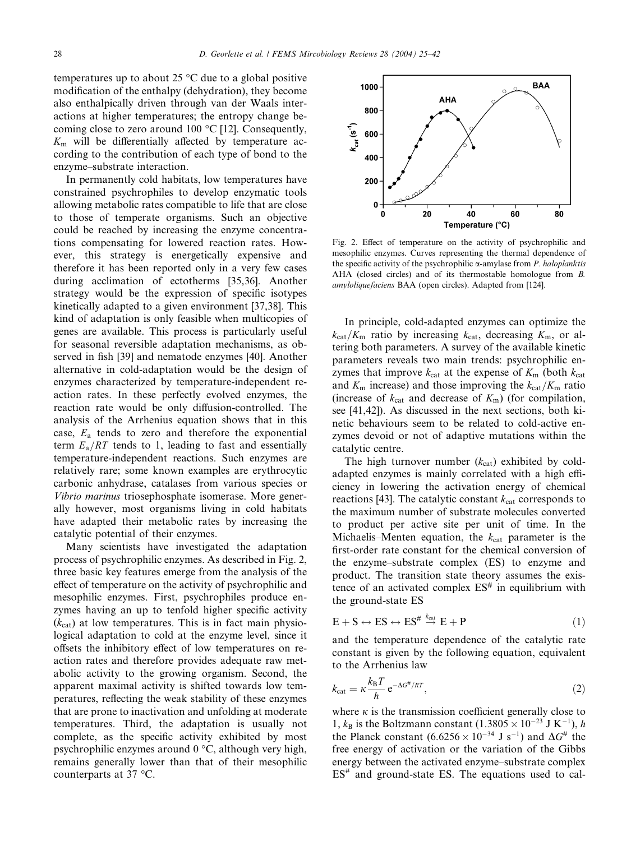temperatures up to about 25  $\mathrm{^{\circ}C}$  due to a global positive modification of the enthalpy (dehydration), they become also enthalpically driven through van der Waals interactions at higher temperatures; the entropy change becoming close to zero around 100  $^{\circ}$ C [12]. Consequently,  $K<sub>m</sub>$  will be differentially affected by temperature according to the contribution of each type of bond to the enzyme–substrate interaction.

In permanently cold habitats, low temperatures have constrained psychrophiles to develop enzymatic tools allowing metabolic rates compatible to life that are close to those of temperate organisms. Such an objective could be reached by increasing the enzyme concentrations compensating for lowered reaction rates. However, this strategy is energetically expensive and therefore it has been reported only in a very few cases during acclimation of ectotherms [35,36]. Another strategy would be the expression of specific isotypes kinetically adapted to a given environment [37,38]. This kind of adaptation is only feasible when multicopies of genes are available. This process is particularly useful for seasonal reversible adaptation mechanisms, as observed in fish [39] and nematode enzymes [40]. Another alternative in cold-adaptation would be the design of enzymes characterized by temperature-independent reaction rates. In these perfectly evolved enzymes, the reaction rate would be only diffusion-controlled. The analysis of the Arrhenius equation shows that in this case,  $E_a$  tends to zero and therefore the exponential term  $E_a/RT$  tends to 1, leading to fast and essentially temperature-independent reactions. Such enzymes are relatively rare; some known examples are erythrocytic carbonic anhydrase, catalases from various species or Vibrio marinus triosephosphate isomerase. More generally however, most organisms living in cold habitats have adapted their metabolic rates by increasing the catalytic potential of their enzymes.

Many scientists have investigated the adaptation process of psychrophilic enzymes. As described in Fig. 2, three basic key features emerge from the analysis of the effect of temperature on the activity of psychrophilic and mesophilic enzymes. First, psychrophiles produce enzymes having an up to tenfold higher specific activity  $(k_{cat})$  at low temperatures. This is in fact main physiological adaptation to cold at the enzyme level, since it offsets the inhibitory effect of low temperatures on reaction rates and therefore provides adequate raw metabolic activity to the growing organism. Second, the apparent maximal activity is shifted towards low temperatures, reflecting the weak stability of these enzymes that are prone to inactivation and unfolding at moderate temperatures. Third, the adaptation is usually not complete, as the specific activity exhibited by most psychrophilic enzymes around  $0 °C$ , although very high, remains generally lower than that of their mesophilic counterparts at 37  $\,^{\circ}\text{C}$ .



Fig. 2. Effect of temperature on the activity of psychrophilic and mesophilic enzymes. Curves representing the thermal dependence of the specific activity of the psychrophilic  $\alpha$ -amylase from *P. haloplanktis* AHA (closed circles) and of its thermostable homologue from B. amyloliquefaciens BAA (open circles). Adapted from [124].

In principle, cold-adapted enzymes can optimize the  $k_{\text{cat}}/K_{\text{m}}$  ratio by increasing  $k_{\text{cat}}$ , decreasing  $K_{\text{m}}$ , or altering both parameters. A survey of the available kinetic parameters reveals two main trends: psychrophilic enzymes that improve  $k_{\text{cat}}$  at the expense of  $K_{\text{m}}$  (both  $k_{\text{cat}}$ ) and  $K_{\rm m}$  increase) and those improving the  $k_{\rm cat}/K_{\rm m}$  ratio (increase of  $k_{cat}$  and decrease of  $K_m$ ) (for compilation, see [41,42]). As discussed in the next sections, both kinetic behaviours seem to be related to cold-active enzymes devoid or not of adaptive mutations within the catalytic centre.

The high turnover number  $(k_{cat})$  exhibited by coldadapted enzymes is mainly correlated with a high efficiency in lowering the activation energy of chemical reactions [43]. The catalytic constant  $k_{cat}$  corresponds to the maximum number of substrate molecules converted to product per active site per unit of time. In the Michaelis–Menten equation, the  $k_{cat}$  parameter is the first-order rate constant for the chemical conversion of the enzyme–substrate complex (ES) to enzyme and product. The transition state theory assumes the existence of an activated complex  $ES^{\#}$  in equilibrium with the ground-state ES

$$
E + S \leftrightarrow ES \leftrightarrow ES^{\#} \stackrel{k_{cat}}{\to} E + P \tag{1}
$$

and the temperature dependence of the catalytic rate constant is given by the following equation, equivalent to the Arrhenius law

$$
k_{\rm cat} = \kappa \frac{k_{\rm B} T}{h} \,\mathrm{e}^{-\Delta G^{\#}/RT},\tag{2}
$$

where  $\kappa$  is the transmission coefficient generally close to 1,  $k_B$  is the Boltzmann constant (1.3805  $\times$  10<sup>-23</sup> J K<sup>-1</sup>), h the Planck constant  $(6.6256 \times 10^{-34} \text{ J s}^{-1})$  and  $\Delta G^{\#}$  the free energy of activation or the variation of the Gibbs energy between the activated enzyme–substrate complex  $ES^{\#}$  and ground-state ES. The equations used to cal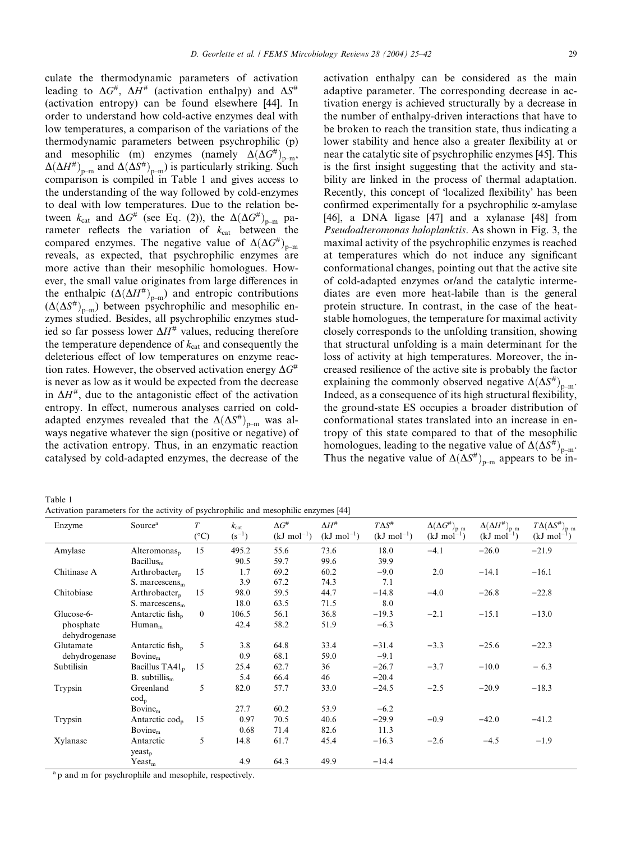culate the thermodynamic parameters of activation leading to  $\Delta G^{\#}$ ,  $\Delta H^{\#}$  (activation enthalpy) and  $\Delta S^{\#}$ (activation entropy) can be found elsewhere [44]. In order to understand how cold-active enzymes deal with low temperatures, a comparison of the variations of the thermodynamic parameters between psychrophilic (p) and mesophilic (m) enzymes (namely  $\Delta(\Delta G^{\#})_{n=m}$ ,  $\Delta(\Delta H^{\#})_{p-m}$  and  $\Delta(\Delta S^{\#})_{p-m}$ ) is particularly striking. Such comparison is compiled in Table 1 and gives access to the understanding of the way followed by cold-enzymes to deal with low temperatures. Due to the relation between  $k_{cat}$  and  $\Delta G^{\#}$  (see Eq. (2)), the  $\Delta (\Delta G^{\#})_{p-m}$  parameter reflects the variation of  $k_{cat}$  between the compared enzymes. The negative value of  $\Delta(\Delta G^{\#})_{p=m}$ reveals, as expected, that psychrophilic enzymes are more active than their mesophilic homologues. However, the small value originates from large differences in the enthalpic  $(\Delta(\Delta H^{\#})_{p-m})$  and entropic contributions  $(\Delta(\Delta S^{\#})_{p-m})$  between psychrophilic and mesophilic enzymes studied. Besides, all psychrophilic enzymes studied so far possess lower  $\Delta H^{\#}$  values, reducing therefore the temperature dependence of  $k_{cat}$  and consequently the deleterious effect of low temperatures on enzyme reaction rates. However, the observed activation energy  $\Delta G^{\#}$ is never as low as it would be expected from the decrease in  $\Delta H^{\#}$ , due to the antagonistic effect of the activation entropy. In effect, numerous analyses carried on coldadapted enzymes revealed that the  $\Delta(\Delta S^{\#})_{p-m}$  was always negative whatever the sign (positive or negative) of the activation entropy. Thus, in an enzymatic reaction catalysed by cold-adapted enzymes, the decrease of the

activation enthalpy can be considered as the main adaptive parameter. The corresponding decrease in activation energy is achieved structurally by a decrease in the number of enthalpy-driven interactions that have to be broken to reach the transition state, thus indicating a lower stability and hence also a greater flexibility at or near the catalytic site of psychrophilic enzymes [45]. This is the first insight suggesting that the activity and stability are linked in the process of thermal adaptation. Recently, this concept of 'localized flexibility' has been confirmed experimentally for a psychrophilic  $\alpha$ -amylase [46], a DNA ligase [47] and a xylanase [48] from Pseudoalteromonas haloplanktis. As shown in Fig. 3, the maximal activity of the psychrophilic enzymes is reached at temperatures which do not induce any significant conformational changes, pointing out that the active site of cold-adapted enzymes or/and the catalytic intermediates are even more heat-labile than is the general protein structure. In contrast, in the case of the heatstable homologues, the temperature for maximal activity closely corresponds to the unfolding transition, showing that structural unfolding is a main determinant for the loss of activity at high temperatures. Moreover, the increased resilience of the active site is probably the factor explaining the commonly observed negative  $\Delta(\Delta S^{\#})_{p=m}$ . Indeed, as a consequence of its high structural flexibility, the ground-state ES occupies a broader distribution of conformational states translated into an increase in entropy of this state compared to that of the mesophilic homologues, leading to the negative value of  $\Delta(\Delta S^{\#})_{p-m}$ . Thus the negative value of  $\Delta(\Delta S^{\#})_{p-m}$  appears to be in-

Table 1

|  |  |  | Activation parameters for the activity of psychrophilic and mesophilic enzymes [44] |  |  |
|--|--|--|-------------------------------------------------------------------------------------|--|--|
|  |  |  |                                                                                     |  |  |

| Enzyme                     | Source <sup>a</sup>         | T<br>$({}^{\circ}C)$ | $k_{\rm cat}$<br>$(s^{-1})$ | $\Delta G^{\#}$<br>$(kJ \text{ mol}^{-1})$ | $\Delta H^{\#}$<br>$(kJ \text{ mol}^{-1})$ | $T\Delta S^{\#}$<br>$(kJ \text{ mol}^{-1})$ | $\Delta (\Delta G^{\#})_{\rm p-m}$<br>$(kJ \text{ mol}^{-1})$ | $\Delta (\Delta H^\#)_{\rm p-m}$<br>$(kJ \text{ mol}^{-1})$ | $T\Delta (\Delta \textit{S}^{\#})_{\textit{p--m}}$<br>$(kJ \text{ mol}^{-1})$ |
|----------------------------|-----------------------------|----------------------|-----------------------------|--------------------------------------------|--------------------------------------------|---------------------------------------------|---------------------------------------------------------------|-------------------------------------------------------------|-------------------------------------------------------------------------------|
| Amylase                    | Alteromonas <sub>n</sub>    | 15                   | 495.2                       | 55.6                                       | 73.6                                       | 18.0                                        | $-4.1$                                                        | $-26.0$                                                     | $-21.9$                                                                       |
|                            | Bacillus <sub>m</sub>       |                      | 90.5                        | 59.7                                       | 99.6                                       | 39.9                                        |                                                               |                                                             |                                                                               |
| Chitinase A                | Arthrobacter <sub>n</sub>   | 15                   | 1.7                         | 69.2                                       | 60.2                                       | $-9.0$                                      | 2.0                                                           | $-14.1$                                                     | $-16.1$                                                                       |
|                            | $S.$ marcescens $m$         |                      | 3.9                         | 67.2                                       | 74.3                                       | 7.1                                         |                                                               |                                                             |                                                                               |
| Chitobiase                 |                             | 15                   | 98.0                        | 59.5                                       | 44.7                                       | $-14.8$                                     | $-4.0$                                                        | $-26.8$                                                     |                                                                               |
|                            | Arthrobacter <sub>p</sub>   |                      |                             |                                            |                                            |                                             |                                                               |                                                             | $-22.8$                                                                       |
|                            | $S.$ marcescens $m$         |                      | 18.0                        | 63.5                                       | 71.5                                       | 8.0                                         |                                                               |                                                             |                                                                               |
| Glucose-6-                 | Antarctic fish <sub>n</sub> | $\theta$             | 106.5                       | 56.1                                       | 36.8                                       | $-19.3$                                     | $-2.1$                                                        | $-15.1$                                                     | $-13.0$                                                                       |
| phosphate<br>dehydrogenase | Human <sub>m</sub>          |                      | 42.4                        | 58.2                                       | 51.9                                       | $-6.3$                                      |                                                               |                                                             |                                                                               |
| Glutamate                  | Antarctic fish <sub>n</sub> | 5                    | 3.8                         | 64.8                                       | 33.4                                       | $-31.4$                                     | $-3.3$                                                        | $-25.6$                                                     | $-22.3$                                                                       |
| dehydrogenase              | Bovine <sub>m</sub>         |                      | 0.9                         | 68.1                                       | 59.0                                       | $-9.1$                                      |                                                               |                                                             |                                                                               |
| Subtilisin                 | Bacillus $TA41p$            | 15                   | 25.4                        | 62.7                                       | 36                                         | $-26.7$                                     | $-3.7$                                                        | $-10.0$                                                     | $-6.3$                                                                        |
|                            | $B.$ subtillis <sub>m</sub> |                      | 5.4                         | 66.4                                       | 46                                         | $-20.4$                                     |                                                               |                                                             |                                                                               |
| Trypsin                    | Greenland                   | 5                    | 82.0                        | 57.7                                       | 33.0                                       | $-24.5$                                     | $-2.5$                                                        | $-20.9$                                                     | $-18.3$                                                                       |
|                            | $\text{cod}_{p}$            |                      |                             |                                            |                                            |                                             |                                                               |                                                             |                                                                               |
|                            | Bovine <sub>m</sub>         |                      | 27.7                        | 60.2                                       | 53.9                                       | $-6.2$                                      |                                                               |                                                             |                                                                               |
| Trypsin                    | Antarctic $\text{cod}_{p}$  | 15                   | 0.97                        | 70.5                                       | 40.6                                       | $-29.9$                                     | $-0.9$                                                        | $-42.0$                                                     | $-41.2$                                                                       |
|                            | Bovine <sub>m</sub>         |                      | 0.68                        | 71.4                                       | 82.6                                       | 11.3                                        |                                                               |                                                             |                                                                               |
| Xylanase                   | Antarctic                   | 5                    | 14.8                        | 61.7                                       | 45.4                                       | $-16.3$                                     | $-2.6$                                                        | $-4.5$                                                      | $-1.9$                                                                        |
|                            | yeast <sub>p</sub>          |                      |                             |                                            |                                            |                                             |                                                               |                                                             |                                                                               |
|                            | $Y$ east <sub>m</sub>       |                      | 4.9                         | 64.3                                       | 49.9                                       | $-14.4$                                     |                                                               |                                                             |                                                                               |

 $a$  p and m for psychrophile and mesophile, respectively.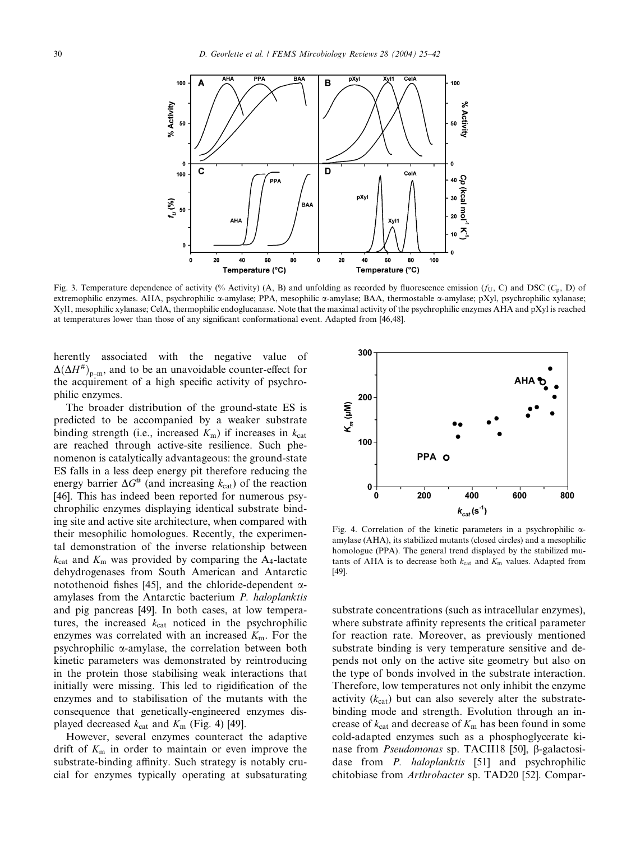

Fig. 3. Temperature dependence of activity (% Activity) (A, B) and unfolding as recorded by fluorescence emission ( $f_U$ , C) and DSC ( $C_p$ , D) of extremophilic enzymes. AHA, psychrophilic α-amylase; PPA, mesophilic α-amylase; BAA, thermostable α-amylase; pXyl, psychrophilic xylanase; Xyl1, mesophilic xylanase; CelA, thermophilic endoglucanase. Note that the maximal activity of the psychrophilic enzymes AHA and pXyl is reached at temperatures lower than those of any significant conformational event. Adapted from [46,48].

herently associated with the negative value of  $\Delta(\Delta H^{\#})_{n-m}$ , and to be an unavoidable counter-effect for the acquirement of a high specific activity of psychrophilic enzymes.

The broader distribution of the ground-state ES is predicted to be accompanied by a weaker substrate binding strength (i.e., increased  $K<sub>m</sub>$ ) if increases in  $k<sub>cat</sub>$ are reached through active-site resilience. Such phenomenon is catalytically advantageous: the ground-state ES falls in a less deep energy pit therefore reducing the energy barrier  $\Delta G^{\#}$  (and increasing  $k_{\text{cat}}$ ) of the reaction [46]. This has indeed been reported for numerous psychrophilic enzymes displaying identical substrate binding site and active site architecture, when compared with their mesophilic homologues. Recently, the experimental demonstration of the inverse relationship between  $k_{\text{cat}}$  and  $K_{\text{m}}$  was provided by comparing the A<sub>4</sub>-lactate dehydrogenases from South American and Antarctic notothenoid fishes [45], and the chloride-dependent  $\alpha$ amylases from the Antarctic bacterium P. haloplanktis and pig pancreas [49]. In both cases, at low temperatures, the increased  $k_{cat}$  noticed in the psychrophilic enzymes was correlated with an increased  $K<sub>m</sub>$ . For the psychrophilic  $\alpha$ -amylase, the correlation between both kinetic parameters was demonstrated by reintroducing in the protein those stabilising weak interactions that initially were missing. This led to rigidification of the enzymes and to stabilisation of the mutants with the consequence that genetically-engineered enzymes displayed decreased  $k_{\text{cat}}$  and  $K_{\text{m}}$  (Fig. 4) [49].

However, several enzymes counteract the adaptive drift of  $K<sub>m</sub>$  in order to maintain or even improve the substrate-binding affinity. Such strategy is notably crucial for enzymes typically operating at subsaturating



Fig. 4. Correlation of the kinetic parameters in a psychrophilic  $\alpha$ amylase (AHA), its stabilized mutants (closed circles) and a mesophilic homologue (PPA). The general trend displayed by the stabilized mutants of AHA is to decrease both  $k_{cat}$  and  $K_m$  values. Adapted from [49].

substrate concentrations (such as intracellular enzymes), where substrate affinity represents the critical parameter for reaction rate. Moreover, as previously mentioned substrate binding is very temperature sensitive and depends not only on the active site geometry but also on the type of bonds involved in the substrate interaction. Therefore, low temperatures not only inhibit the enzyme activity  $(k_{cat})$  but can also severely alter the substratebinding mode and strength. Evolution through an increase of  $k_{\text{cat}}$  and decrease of  $K_{\text{m}}$  has been found in some cold-adapted enzymes such as a phosphoglycerate kinase from *Pseudomonas* sp. TACII18 [50], β-galactosidase from *P. haloplanktis* [51] and psychrophilic chitobiase from Arthrobacter sp. TAD20 [52]. Compar-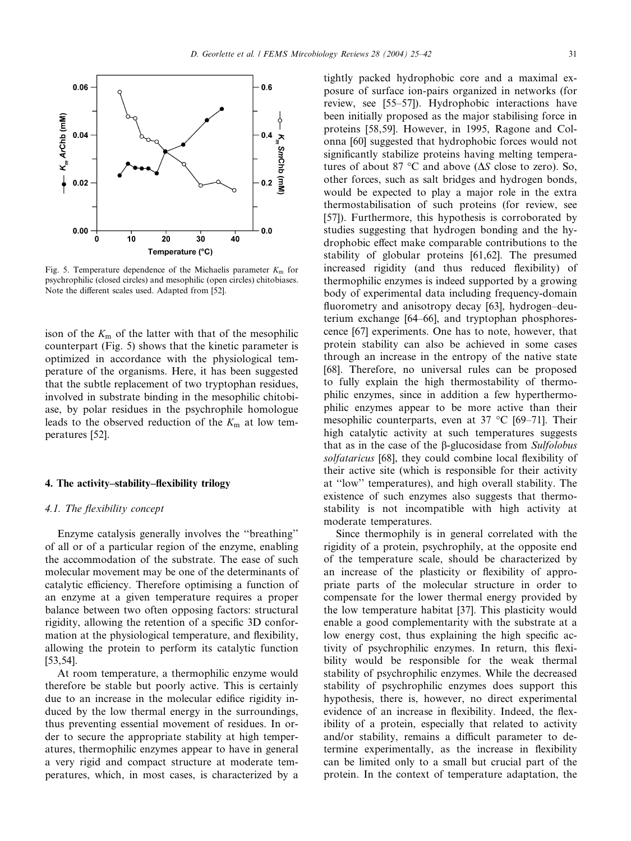

Fig. 5. Temperature dependence of the Michaelis parameter  $K<sub>m</sub>$  for psychrophilic (closed circles) and mesophilic (open circles) chitobiases. Note the different scales used. Adapted from [52].

ison of the  $K<sub>m</sub>$  of the latter with that of the mesophilic counterpart (Fig. 5) shows that the kinetic parameter is optimized in accordance with the physiological temperature of the organisms. Here, it has been suggested that the subtle replacement of two tryptophan residues, involved in substrate binding in the mesophilic chitobiase, by polar residues in the psychrophile homologue leads to the observed reduction of the  $K<sub>m</sub>$  at low temperatures [52].

#### 4. The activity–stability–flexibility trilogy

#### 4.1. The flexibility concept

Enzyme catalysis generally involves the ''breathing'' of all or of a particular region of the enzyme, enabling the accommodation of the substrate. The ease of such molecular movement may be one of the determinants of catalytic efficiency. Therefore optimising a function of an enzyme at a given temperature requires a proper balance between two often opposing factors: structural rigidity, allowing the retention of a specific 3D conformation at the physiological temperature, and flexibility, allowing the protein to perform its catalytic function [53,54].

At room temperature, a thermophilic enzyme would therefore be stable but poorly active. This is certainly due to an increase in the molecular edifice rigidity induced by the low thermal energy in the surroundings, thus preventing essential movement of residues. In order to secure the appropriate stability at high temperatures, thermophilic enzymes appear to have in general a very rigid and compact structure at moderate temperatures, which, in most cases, is characterized by a

tightly packed hydrophobic core and a maximal exposure of surface ion-pairs organized in networks (for review, see [55–57]). Hydrophobic interactions have been initially proposed as the major stabilising force in proteins [58,59]. However, in 1995, Ragone and Colonna [60] suggested that hydrophobic forces would not significantly stabilize proteins having melting temperatures of about 87  $\degree$ C and above ( $\Delta S$  close to zero). So, other forces, such as salt bridges and hydrogen bonds, would be expected to play a major role in the extra thermostabilisation of such proteins (for review, see [57]). Furthermore, this hypothesis is corroborated by studies suggesting that hydrogen bonding and the hydrophobic effect make comparable contributions to the stability of globular proteins [61,62]. The presumed increased rigidity (and thus reduced flexibility) of thermophilic enzymes is indeed supported by a growing body of experimental data including frequency-domain fluorometry and anisotropy decay [63], hydrogen–deuterium exchange [64–66], and tryptophan phosphorescence [67] experiments. One has to note, however, that protein stability can also be achieved in some cases through an increase in the entropy of the native state [68]. Therefore, no universal rules can be proposed to fully explain the high thermostability of thermophilic enzymes, since in addition a few hyperthermophilic enzymes appear to be more active than their mesophilic counterparts, even at 37  $^{\circ}$ C [69–71]. Their high catalytic activity at such temperatures suggests that as in the case of the  $\beta$ -glucosidase from Sulfolobus solfataricus [68], they could combine local flexibility of their active site (which is responsible for their activity at ''low'' temperatures), and high overall stability. The existence of such enzymes also suggests that thermostability is not incompatible with high activity at moderate temperatures.

Since thermophily is in general correlated with the rigidity of a protein, psychrophily, at the opposite end of the temperature scale, should be characterized by an increase of the plasticity or flexibility of appropriate parts of the molecular structure in order to compensate for the lower thermal energy provided by the low temperature habitat [37]. This plasticity would enable a good complementarity with the substrate at a low energy cost, thus explaining the high specific activity of psychrophilic enzymes. In return, this flexibility would be responsible for the weak thermal stability of psychrophilic enzymes. While the decreased stability of psychrophilic enzymes does support this hypothesis, there is, however, no direct experimental evidence of an increase in flexibility. Indeed, the flexibility of a protein, especially that related to activity and/or stability, remains a difficult parameter to determine experimentally, as the increase in flexibility can be limited only to a small but crucial part of the protein. In the context of temperature adaptation, the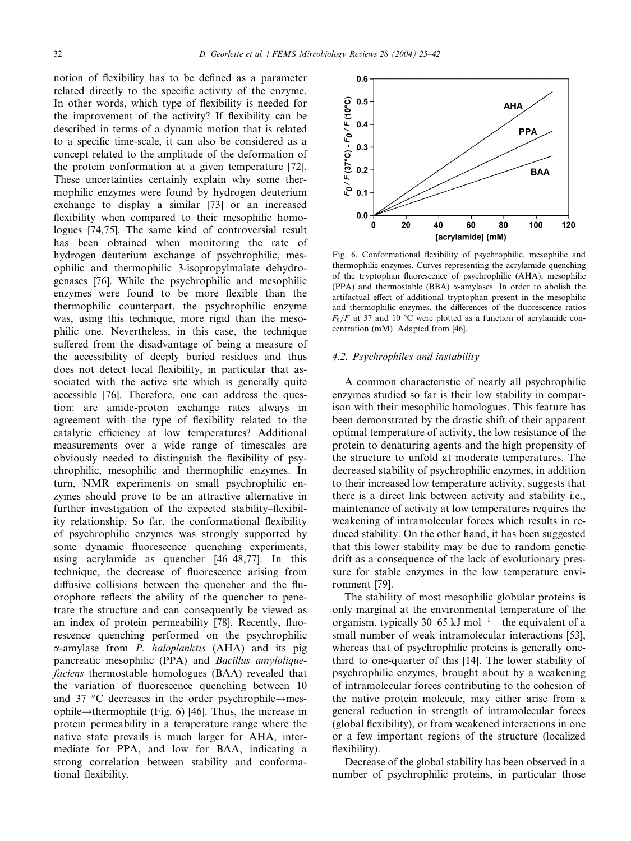notion of flexibility has to be defined as a parameter related directly to the specific activity of the enzyme. In other words, which type of flexibility is needed for the improvement of the activity? If flexibility can be described in terms of a dynamic motion that is related to a specific time-scale, it can also be considered as a concept related to the amplitude of the deformation of the protein conformation at a given temperature [72]. These uncertainties certainly explain why some thermophilic enzymes were found by hydrogen–deuterium exchange to display a similar [73] or an increased flexibility when compared to their mesophilic homologues [74,75]. The same kind of controversial result has been obtained when monitoring the rate of hydrogen–deuterium exchange of psychrophilic, mesophilic and thermophilic 3-isopropylmalate dehydrogenases [76]. While the psychrophilic and mesophilic enzymes were found to be more flexible than the thermophilic counterpart, the psychrophilic enzyme was, using this technique, more rigid than the mesophilic one. Nevertheless, in this case, the technique suffered from the disadvantage of being a measure of the accessibility of deeply buried residues and thus does not detect local flexibility, in particular that associated with the active site which is generally quite accessible [76]. Therefore, one can address the question: are amide-proton exchange rates always in agreement with the type of flexibility related to the catalytic efficiency at low temperatures? Additional measurements over a wide range of timescales are obviously needed to distinguish the flexibility of psychrophilic, mesophilic and thermophilic enzymes. In turn, NMR experiments on small psychrophilic enzymes should prove to be an attractive alternative in further investigation of the expected stability–flexibility relationship. So far, the conformational flexibility of psychrophilic enzymes was strongly supported by some dynamic fluorescence quenching experiments, using acrylamide as quencher [46–48,77]. In this technique, the decrease of fluorescence arising from diffusive collisions between the quencher and the fluorophore reflects the ability of the quencher to penetrate the structure and can consequently be viewed as an index of protein permeability [78]. Recently, fluorescence quenching performed on the psychrophilic  $\alpha$ -amylase from *P. haloplanktis* (AHA) and its pig pancreatic mesophilic (PPA) and Bacillus amyloliquefaciens thermostable homologues (BAA) revealed that the variation of fluorescence quenching between 10 and 37  $\degree$ C decreases in the order psychrophile $\rightarrow$ mesophile $\rightarrow$ thermophile (Fig. 6) [46]. Thus, the increase in protein permeability in a temperature range where the native state prevails is much larger for AHA, intermediate for PPA, and low for BAA, indicating a strong correlation between stability and conformational flexibility.



Fig. 6. Conformational flexibility of psychrophilic, mesophilic and thermophilic enzymes. Curves representing the acrylamide quenching of the tryptophan fluorescence of psychrophilic (AHA), mesophilic (PPA) and thermostable (BBA)  $\alpha$ -amylases. In order to abolish the artifactual effect of additional tryptophan present in the mesophilic and thermophilic enzymes, the differences of the fluorescence ratios  $F_0/F$  at 37 and 10 °C were plotted as a function of acrylamide concentration (mM). Adapted from [46].

## 4.2. Psychrophiles and instability

A common characteristic of nearly all psychrophilic enzymes studied so far is their low stability in comparison with their mesophilic homologues. This feature has been demonstrated by the drastic shift of their apparent optimal temperature of activity, the low resistance of the protein to denaturing agents and the high propensity of the structure to unfold at moderate temperatures. The decreased stability of psychrophilic enzymes, in addition to their increased low temperature activity, suggests that there is a direct link between activity and stability i.e., maintenance of activity at low temperatures requires the weakening of intramolecular forces which results in reduced stability. On the other hand, it has been suggested that this lower stability may be due to random genetic drift as a consequence of the lack of evolutionary pressure for stable enzymes in the low temperature environment [79].

The stability of most mesophilic globular proteins is only marginal at the environmental temperature of the organism, typically 30–65 kJ mol<sup>-1</sup> – the equivalent of a small number of weak intramolecular interactions [53], whereas that of psychrophilic proteins is generally onethird to one-quarter of this [14]. The lower stability of psychrophilic enzymes, brought about by a weakening of intramolecular forces contributing to the cohesion of the native protein molecule, may either arise from a general reduction in strength of intramolecular forces (global flexibility), or from weakened interactions in one or a few important regions of the structure (localized flexibility).

Decrease of the global stability has been observed in a number of psychrophilic proteins, in particular those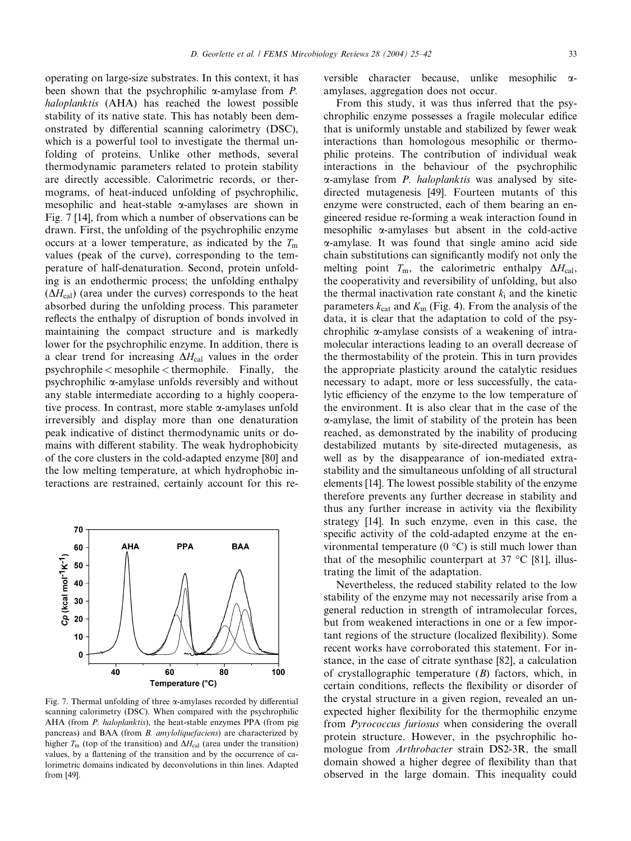operating on large-size substrates. In this context, it has been shown that the psychrophilic  $\alpha$ -amylase from P. haloplanktis (AHA) has reached the lowest possible stability of its native state. This has notably been demonstrated by differential scanning calorimetry (DSC), which is a powerful tool to investigate the thermal unfolding of proteins. Unlike other methods, several thermodynamic parameters related to protein stability are directly accessible. Calorimetric records, or thermograms, of heat-induced unfolding of psychrophilic, mesophilic and heat-stable a-amylases are shown in Fig. 7 [14], from which a number of observations can be drawn. First, the unfolding of the psychrophilic enzyme occurs at a lower temperature, as indicated by the  $T<sub>m</sub>$ values (peak of the curve), corresponding to the temperature of half-denaturation. Second, protein unfolding is an endothermic process; the unfolding enthalpy  $(\Delta H_{\rm cal})$  (area under the curves) corresponds to the heat absorbed during the unfolding process. This parameter reflects the enthalpy of disruption of bonds involved in maintaining the compact structure and is markedly lower for the psychrophilic enzyme. In addition, there is a clear trend for increasing  $\Delta H_{\text{cal}}$  values in the order psychrophile < mesophile < thermophile. Finally, the psychrophilic a-amylase unfolds reversibly and without any stable intermediate according to a highly cooperative process. In contrast, more stable a-amylases unfold irreversibly and display more than one denaturation peak indicative of distinct thermodynamic units or domains with different stability. The weak hydrophobicity of the core clusters in the cold-adapted enzyme [80] and the low melting temperature, at which hydrophobic interactions are restrained, certainly account for this re-



Fig. 7. Thermal unfolding of three  $\alpha$ -amylases recorded by differential scanning calorimetry (DSC). When compared with the psychrophilic AHA (from P. haloplanktis), the heat-stable enzymes PPA (from pig pancreas) and BAA (from *B. amyloliquefaciens*) are characterized by higher  $T_{\text{m}}$  (top of the transition) and  $\Delta H_{\text{cal}}$  (area under the transition) values, by a flattening of the transition and by the occurrence of calorimetric domains indicated by deconvolutions in thin lines. Adapted from [49].

versible character because, unlike mesophilic aamylases, aggregation does not occur.

From this study, it was thus inferred that the psychrophilic enzyme possesses a fragile molecular edifice that is uniformly unstable and stabilized by fewer weak interactions than homologous mesophilic or thermophilic proteins. The contribution of individual weak interactions in the behaviour of the psychrophilic  $\alpha$ -amylase from *P. haloplanktis* was analysed by sitedirected mutagenesis [49]. Fourteen mutants of this enzyme were constructed, each of them bearing an engineered residue re-forming a weak interaction found in mesophilic a-amylases but absent in the cold-active a-amylase. It was found that single amino acid side chain substitutions can significantly modify not only the melting point  $T_{\text{m}}$ , the calorimetric enthalpy  $\Delta H_{\text{cal}}$ , the cooperativity and reversibility of unfolding, but also the thermal inactivation rate constant  $k_i$  and the kinetic parameters  $k_{cat}$  and  $K_m$  (Fig. 4). From the analysis of the data, it is clear that the adaptation to cold of the psychrophilic  $\alpha$ -amylase consists of a weakening of intramolecular interactions leading to an overall decrease of the thermostability of the protein. This in turn provides the appropriate plasticity around the catalytic residues necessary to adapt, more or less successfully, the catalytic efficiency of the enzyme to the low temperature of the environment. It is also clear that in the case of the a-amylase, the limit of stability of the protein has been reached, as demonstrated by the inability of producing destabilized mutants by site-directed mutagenesis, as well as by the disappearance of ion-mediated extrastability and the simultaneous unfolding of all structural elements [14]. The lowest possible stability of the enzyme therefore prevents any further decrease in stability and thus any further increase in activity via the flexibility strategy [14]. In such enzyme, even in this case, the specific activity of the cold-adapted enzyme at the environmental temperature  $(0 °C)$  is still much lower than that of the mesophilic counterpart at 37  $\mathrm{^{\circ}C}$  [81], illustrating the limit of the adaptation.

Nevertheless, the reduced stability related to the low stability of the enzyme may not necessarily arise from a general reduction in strength of intramolecular forces, but from weakened interactions in one or a few important regions of the structure (localized flexibility). Some recent works have corroborated this statement. For instance, in the case of citrate synthase [82], a calculation of crystallographic temperature (B) factors, which, in certain conditions, reflects the flexibility or disorder of the crystal structure in a given region, revealed an unexpected higher flexibility for the thermophilic enzyme from Pyrococcus furiosus when considering the overall protein structure. However, in the psychrophilic homologue from Arthrobacter strain DS2-3R, the small domain showed a higher degree of flexibility than that observed in the large domain. This inequality could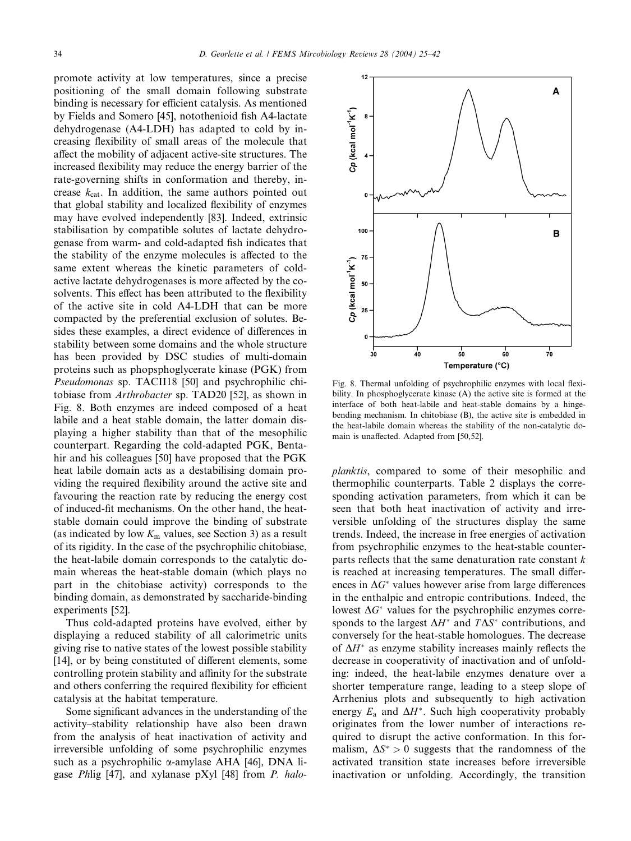promote activity at low temperatures, since a precise positioning of the small domain following substrate binding is necessary for efficient catalysis. As mentioned by Fields and Somero [45], notothenioid fish A4-lactate dehydrogenase (A4-LDH) has adapted to cold by increasing flexibility of small areas of the molecule that affect the mobility of adjacent active-site structures. The increased flexibility may reduce the energy barrier of the rate-governing shifts in conformation and thereby, increase  $k_{\text{cat}}$ . In addition, the same authors pointed out that global stability and localized flexibility of enzymes may have evolved independently [83]. Indeed, extrinsic stabilisation by compatible solutes of lactate dehydrogenase from warm- and cold-adapted fish indicates that the stability of the enzyme molecules is affected to the same extent whereas the kinetic parameters of coldactive lactate dehydrogenases is more affected by the cosolvents. This effect has been attributed to the flexibility of the active site in cold A4-LDH that can be more compacted by the preferential exclusion of solutes. Besides these examples, a direct evidence of differences in stability between some domains and the whole structure has been provided by DSC studies of multi-domain proteins such as phopsphoglycerate kinase (PGK) from Pseudomonas sp. TACII18 [50] and psychrophilic chitobiase from Arthrobacter sp. TAD20 [52], as shown in Fig. 8. Both enzymes are indeed composed of a heat labile and a heat stable domain, the latter domain displaying a higher stability than that of the mesophilic counterpart. Regarding the cold-adapted PGK, Bentahir and his colleagues [50] have proposed that the PGK heat labile domain acts as a destabilising domain providing the required flexibility around the active site and favouring the reaction rate by reducing the energy cost of induced-fit mechanisms. On the other hand, the heatstable domain could improve the binding of substrate (as indicated by low  $K<sub>m</sub>$  values, see Section 3) as a result of its rigidity. In the case of the psychrophilic chitobiase, the heat-labile domain corresponds to the catalytic domain whereas the heat-stable domain (which plays no part in the chitobiase activity) corresponds to the binding domain, as demonstrated by saccharide-binding experiments [52].

Thus cold-adapted proteins have evolved, either by displaying a reduced stability of all calorimetric units giving rise to native states of the lowest possible stability [14], or by being constituted of different elements, some controlling protein stability and affinity for the substrate and others conferring the required flexibility for efficient catalysis at the habitat temperature.

Some significant advances in the understanding of the activity–stability relationship have also been drawn from the analysis of heat inactivation of activity and irreversible unfolding of some psychrophilic enzymes such as a psychrophilic  $\alpha$ -amylase AHA [46], DNA ligase Phlig [47], and xylanase pXyl [48] from P. halo-



Fig. 8. Thermal unfolding of psychrophilic enzymes with local flexibility. In phosphoglycerate kinase (A) the active site is formed at the interface of both heat-labile and heat-stable domains by a hingebending mechanism. In chitobiase (B), the active site is embedded in the heat-labile domain whereas the stability of the non-catalytic domain is unaffected. Adapted from [50,52].

planktis, compared to some of their mesophilic and thermophilic counterparts. Table 2 displays the corresponding activation parameters, from which it can be seen that both heat inactivation of activity and irreversible unfolding of the structures display the same trends. Indeed, the increase in free energies of activation from psychrophilic enzymes to the heat-stable counterparts reflects that the same denaturation rate constant  $k$ is reached at increasing temperatures. The small differences in  $\Delta G^*$  values however arise from large differences in the enthalpic and entropic contributions. Indeed, the lowest  $\Delta G^*$  values for the psychrophilic enzymes corresponds to the largest  $\Delta H^*$  and  $T\Delta S^*$  contributions, and conversely for the heat-stable homologues. The decrease of  $\Delta H^*$  as enzyme stability increases mainly reflects the decrease in cooperativity of inactivation and of unfolding: indeed, the heat-labile enzymes denature over a shorter temperature range, leading to a steep slope of Arrhenius plots and subsequently to high activation energy  $E_a$  and  $\Delta H^*$ . Such high cooperativity probably originates from the lower number of interactions required to disrupt the active conformation. In this formalism,  $\Delta S^* > 0$  suggests that the randomness of the activated transition state increases before irreversible inactivation or unfolding. Accordingly, the transition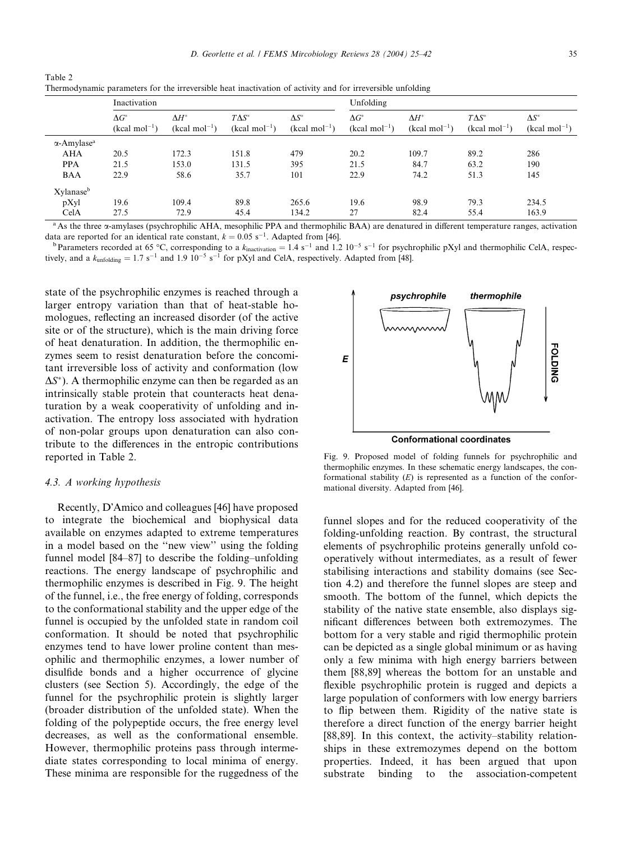| Table 2                                                                                                    |  |
|------------------------------------------------------------------------------------------------------------|--|
| Thermodynamic parameters for the irreversible heat inactivation of activity and for irreversible unfolding |  |

|                                | Inactivation                   |                                |                                 |                                | Unfolding                      |                                |                                 |                                |  |
|--------------------------------|--------------------------------|--------------------------------|---------------------------------|--------------------------------|--------------------------------|--------------------------------|---------------------------------|--------------------------------|--|
|                                | $\Delta G^*$<br>$(kcal mol-1)$ | $\Delta H^*$<br>$(kcal mol-1)$ | $T\Delta S^*$<br>$(kcal mol-1)$ | $\Delta S^*$<br>$(kcal mol-1)$ | $\Delta G^*$<br>$(kcal mol-1)$ | $\Delta H^*$<br>$(kcal mol-1)$ | $T\Delta S^*$<br>$(kcal mol-1)$ | $\Delta S^*$<br>$(kcal mol-1)$ |  |
| $\alpha$ -Amylase <sup>a</sup> |                                |                                |                                 |                                |                                |                                |                                 |                                |  |
| <b>AHA</b>                     | 20.5                           | 172.3                          | 151.8                           | 479                            | 20.2                           | 109.7                          | 89.2                            | 286                            |  |
| <b>PPA</b>                     | 21.5                           | 153.0                          | 131.5                           | 395                            | 21.5                           | 84.7                           | 63.2                            | 190                            |  |
| <b>BAA</b>                     | 22.9                           | 58.6                           | 35.7                            | 101                            | 22.9                           | 74.2                           | 51.3                            | 145                            |  |
| Xylanase <sup>b</sup>          |                                |                                |                                 |                                |                                |                                |                                 |                                |  |
| pXyl                           | 19.6                           | 109.4                          | 89.8                            | 265.6                          | 19.6                           | 98.9                           | 79.3                            | 234.5                          |  |
| CelA                           | 27.5                           | 72.9                           | 45.4                            | 134.2                          | 27                             | 82.4                           | 55.4                            | 163.9                          |  |

<sup>a</sup> As the three  $\alpha$ -amylases (psychrophilic AHA, mesophilic PPA and thermophilic BAA) are denatured in different temperature ranges, activation data are reported for an identical rate constant,  $k = 0.05$  s<sup>-1</sup>. Adapted data are reported for an identical rate constant,  $k = 0.05 \text{ s}^{-1}$ . Adapted from [46].<br><sup>b</sup> Parameters recorded at 65 °C, corresponding to a  $k_{\text{inactivation}} = 1.4 \text{ s}^{-1}$  and 1.2  $10^{-5} \text{ s}^{-1}$  for psychrophilic pXyl and therm

tively, and a  $k_{\text{unfolding}} = 1.7 \text{ s}^{-1}$  and 1.9  $10^{-5} \text{ s}^{-1}$  for pXyl and CelA, respectively. Adapted from [48].

state of the psychrophilic enzymes is reached through a larger entropy variation than that of heat-stable homologues, reflecting an increased disorder (of the active site or of the structure), which is the main driving force of heat denaturation. In addition, the thermophilic enzymes seem to resist denaturation before the concomitant irreversible loss of activity and conformation (low  $\Delta S^*$ ). A thermophilic enzyme can then be regarded as an intrinsically stable protein that counteracts heat denaturation by a weak cooperativity of unfolding and inactivation. The entropy loss associated with hydration of non-polar groups upon denaturation can also contribute to the differences in the entropic contributions reported in Table 2.

#### 4.3. A working hypothesis

Recently, D'Amico and colleagues [46] have proposed to integrate the biochemical and biophysical data available on enzymes adapted to extreme temperatures in a model based on the ''new view'' using the folding funnel model [84–87] to describe the folding–unfolding reactions. The energy landscape of psychrophilic and thermophilic enzymes is described in Fig. 9. The height of the funnel, i.e., the free energy of folding, corresponds to the conformational stability and the upper edge of the funnel is occupied by the unfolded state in random coil conformation. It should be noted that psychrophilic enzymes tend to have lower proline content than mesophilic and thermophilic enzymes, a lower number of disulfide bonds and a higher occurrence of glycine clusters (see Section 5). Accordingly, the edge of the funnel for the psychrophilic protein is slightly larger (broader distribution of the unfolded state). When the folding of the polypeptide occurs, the free energy level decreases, as well as the conformational ensemble. However, thermophilic proteins pass through intermediate states corresponding to local minima of energy. These minima are responsible for the ruggedness of the



Fig. 9. Proposed model of folding funnels for psychrophilic and thermophilic enzymes. In these schematic energy landscapes, the conformational stability  $(E)$  is represented as a function of the conformational diversity. Adapted from [46].

funnel slopes and for the reduced cooperativity of the folding-unfolding reaction. By contrast, the structural elements of psychrophilic proteins generally unfold cooperatively without intermediates, as a result of fewer stabilising interactions and stability domains (see Section 4.2) and therefore the funnel slopes are steep and smooth. The bottom of the funnel, which depicts the stability of the native state ensemble, also displays significant differences between both extremozymes. The bottom for a very stable and rigid thermophilic protein can be depicted as a single global minimum or as having only a few minima with high energy barriers between them [88,89] whereas the bottom for an unstable and flexible psychrophilic protein is rugged and depicts a large population of conformers with low energy barriers to flip between them. Rigidity of the native state is therefore a direct function of the energy barrier height [88,89]. In this context, the activity–stability relationships in these extremozymes depend on the bottom properties. Indeed, it has been argued that upon substrate binding to the association-competent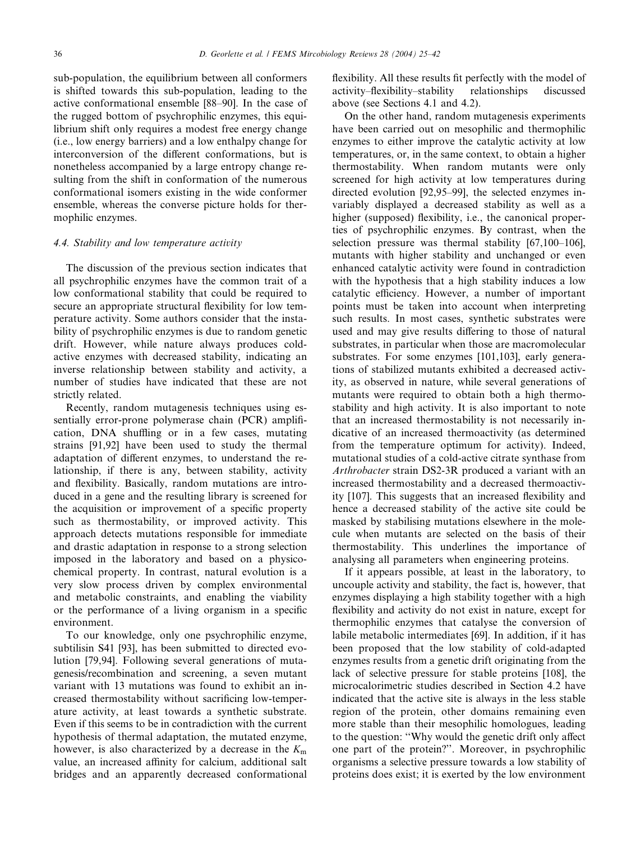sub-population, the equilibrium between all conformers is shifted towards this sub-population, leading to the active conformational ensemble [88–90]. In the case of the rugged bottom of psychrophilic enzymes, this equilibrium shift only requires a modest free energy change (i.e., low energy barriers) and a low enthalpy change for interconversion of the different conformations, but is nonetheless accompanied by a large entropy change resulting from the shift in conformation of the numerous conformational isomers existing in the wide conformer ensemble, whereas the converse picture holds for thermophilic enzymes.

#### 4.4. Stability and low temperature activity

The discussion of the previous section indicates that all psychrophilic enzymes have the common trait of a low conformational stability that could be required to secure an appropriate structural flexibility for low temperature activity. Some authors consider that the instability of psychrophilic enzymes is due to random genetic drift. However, while nature always produces coldactive enzymes with decreased stability, indicating an inverse relationship between stability and activity, a number of studies have indicated that these are not strictly related.

Recently, random mutagenesis techniques using essentially error-prone polymerase chain (PCR) amplification, DNA shuffling or in a few cases, mutating strains [91,92] have been used to study the thermal adaptation of different enzymes, to understand the relationship, if there is any, between stability, activity and flexibility. Basically, random mutations are introduced in a gene and the resulting library is screened for the acquisition or improvement of a specific property such as thermostability, or improved activity. This approach detects mutations responsible for immediate and drastic adaptation in response to a strong selection imposed in the laboratory and based on a physicochemical property. In contrast, natural evolution is a very slow process driven by complex environmental and metabolic constraints, and enabling the viability or the performance of a living organism in a specific environment.

To our knowledge, only one psychrophilic enzyme, subtilisin S41 [93], has been submitted to directed evolution [79,94]. Following several generations of mutagenesis/recombination and screening, a seven mutant variant with 13 mutations was found to exhibit an increased thermostability without sacrificing low-temperature activity, at least towards a synthetic substrate. Even if this seems to be in contradiction with the current hypothesis of thermal adaptation, the mutated enzyme, however, is also characterized by a decrease in the  $K<sub>m</sub>$ value, an increased affinity for calcium, additional salt bridges and an apparently decreased conformational flexibility. All these results fit perfectly with the model of activity–flexibility–stability relationships discussed above (see Sections 4.1 and 4.2).

On the other hand, random mutagenesis experiments have been carried out on mesophilic and thermophilic enzymes to either improve the catalytic activity at low temperatures, or, in the same context, to obtain a higher thermostability. When random mutants were only screened for high activity at low temperatures during directed evolution [92,95–99], the selected enzymes invariably displayed a decreased stability as well as a higher (supposed) flexibility, i.e., the canonical properties of psychrophilic enzymes. By contrast, when the selection pressure was thermal stability [67,100–106], mutants with higher stability and unchanged or even enhanced catalytic activity were found in contradiction with the hypothesis that a high stability induces a low catalytic efficiency. However, a number of important points must be taken into account when interpreting such results. In most cases, synthetic substrates were used and may give results differing to those of natural substrates, in particular when those are macromolecular substrates. For some enzymes [101,103], early generations of stabilized mutants exhibited a decreased activity, as observed in nature, while several generations of mutants were required to obtain both a high thermostability and high activity. It is also important to note that an increased thermostability is not necessarily indicative of an increased thermoactivity (as determined from the temperature optimum for activity). Indeed, mutational studies of a cold-active citrate synthase from Arthrobacter strain DS2-3R produced a variant with an increased thermostability and a decreased thermoactivity [107]. This suggests that an increased flexibility and hence a decreased stability of the active site could be masked by stabilising mutations elsewhere in the molecule when mutants are selected on the basis of their thermostability. This underlines the importance of analysing all parameters when engineering proteins.

If it appears possible, at least in the laboratory, to uncouple activity and stability, the fact is, however, that enzymes displaying a high stability together with a high flexibility and activity do not exist in nature, except for thermophilic enzymes that catalyse the conversion of labile metabolic intermediates [69]. In addition, if it has been proposed that the low stability of cold-adapted enzymes results from a genetic drift originating from the lack of selective pressure for stable proteins [108], the microcalorimetric studies described in Section 4.2 have indicated that the active site is always in the less stable region of the protein, other domains remaining even more stable than their mesophilic homologues, leading to the question: ''Why would the genetic drift only affect one part of the protein?''. Moreover, in psychrophilic organisms a selective pressure towards a low stability of proteins does exist; it is exerted by the low environment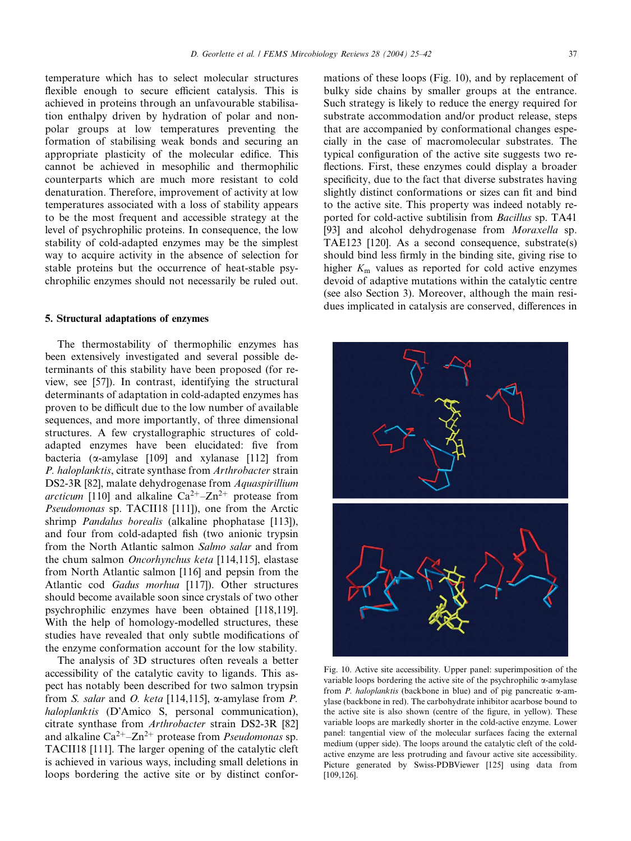temperature which has to select molecular structures flexible enough to secure efficient catalysis. This is achieved in proteins through an unfavourable stabilisation enthalpy driven by hydration of polar and nonpolar groups at low temperatures preventing the formation of stabilising weak bonds and securing an appropriate plasticity of the molecular edifice. This cannot be achieved in mesophilic and thermophilic counterparts which are much more resistant to cold denaturation. Therefore, improvement of activity at low temperatures associated with a loss of stability appears to be the most frequent and accessible strategy at the level of psychrophilic proteins. In consequence, the low stability of cold-adapted enzymes may be the simplest way to acquire activity in the absence of selection for stable proteins but the occurrence of heat-stable psychrophilic enzymes should not necessarily be ruled out.

#### 5. Structural adaptations of enzymes

The thermostability of thermophilic enzymes has been extensively investigated and several possible determinants of this stability have been proposed (for review, see [57]). In contrast, identifying the structural determinants of adaptation in cold-adapted enzymes has proven to be difficult due to the low number of available sequences, and more importantly, of three dimensional structures. A few crystallographic structures of coldadapted enzymes have been elucidated: five from bacteria ( $\alpha$ -amylase [109] and xylanase [112] from P. haloplanktis, citrate synthase from Arthrobacter strain DS2-3R [82], malate dehydrogenase from Aquaspirillium arcticum [110] and alkaline  $Ca^{2+}-Zn^{2+}$  protease from Pseudomonas sp. TACII18 [111]), one from the Arctic shrimp Pandalus borealis (alkaline phophatase [113]), and four from cold-adapted fish (two anionic trypsin from the North Atlantic salmon Salmo salar and from the chum salmon Oncorhynchus keta [114,115], elastase from North Atlantic salmon [116] and pepsin from the Atlantic cod Gadus morhua [117]). Other structures should become available soon since crystals of two other psychrophilic enzymes have been obtained [118,119]. With the help of homology-modelled structures, these studies have revealed that only subtle modifications of the enzyme conformation account for the low stability.

The analysis of 3D structures often reveals a better accessibility of the catalytic cavity to ligands. This aspect has notably been described for two salmon trypsin from S. salar and O. keta [114,115],  $\alpha$ -amylase from P. haloplanktis (D'Amico S, personal communication), citrate synthase from Arthrobacter strain DS2-3R [82] and alkaline  $Ca^{2+}-Zn^{2+}$  protease from *Pseudomonas* sp. TACII18 [111]. The larger opening of the catalytic cleft is achieved in various ways, including small deletions in loops bordering the active site or by distinct conformations of these loops (Fig. 10), and by replacement of bulky side chains by smaller groups at the entrance. Such strategy is likely to reduce the energy required for substrate accommodation and/or product release, steps that are accompanied by conformational changes especially in the case of macromolecular substrates. The typical configuration of the active site suggests two reflections. First, these enzymes could display a broader specificity, due to the fact that diverse substrates having slightly distinct conformations or sizes can fit and bind to the active site. This property was indeed notably reported for cold-active subtilisin from Bacillus sp. TA41 [93] and alcohol dehydrogenase from *Moraxella* sp. TAE123 [120]. As a second consequence, substrate(s) should bind less firmly in the binding site, giving rise to higher  $K<sub>m</sub>$  values as reported for cold active enzymes devoid of adaptive mutations within the catalytic centre (see also Section 3). Moreover, although the main residues implicated in catalysis are conserved, differences in



Fig. 10. Active site accessibility. Upper panel: superimposition of the variable loops bordering the active site of the psychrophilic  $\alpha$ -amylase from  $P$ . haloplanktis (backbone in blue) and of pig pancreatic  $\alpha$ -amylase (backbone in red). The carbohydrate inhibitor acarbose bound to the active site is also shown (centre of the figure, in yellow). These variable loops are markedly shorter in the cold-active enzyme. Lower panel: tangential view of the molecular surfaces facing the external medium (upper side). The loops around the catalytic cleft of the coldactive enzyme are less protruding and favour active site accessibility. Picture generated by Swiss-PDBViewer [125] using data from [109,126].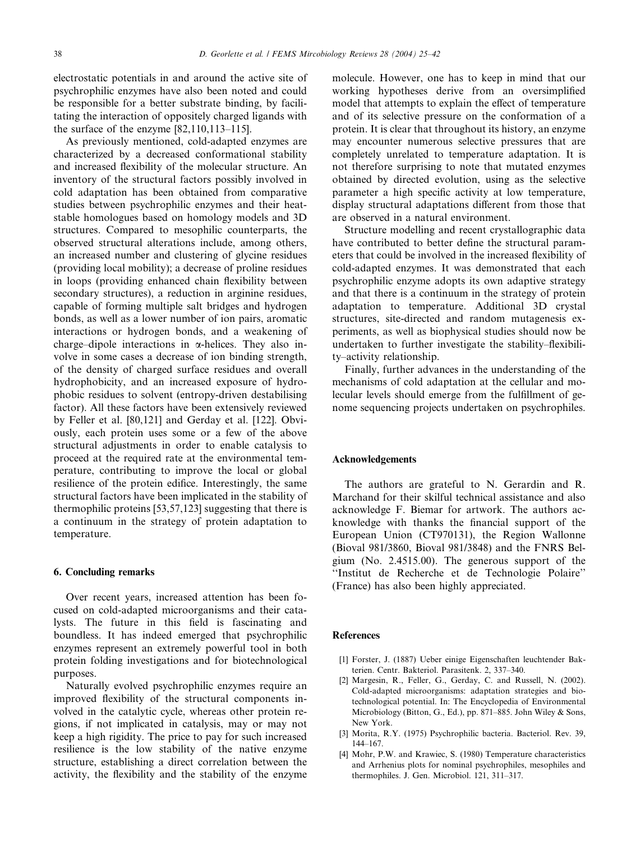electrostatic potentials in and around the active site of psychrophilic enzymes have also been noted and could be responsible for a better substrate binding, by facilitating the interaction of oppositely charged ligands with the surface of the enzyme [82,110,113–115].

As previously mentioned, cold-adapted enzymes are characterized by a decreased conformational stability and increased flexibility of the molecular structure. An inventory of the structural factors possibly involved in cold adaptation has been obtained from comparative studies between psychrophilic enzymes and their heatstable homologues based on homology models and 3D structures. Compared to mesophilic counterparts, the observed structural alterations include, among others, an increased number and clustering of glycine residues (providing local mobility); a decrease of proline residues in loops (providing enhanced chain flexibility between secondary structures), a reduction in arginine residues, capable of forming multiple salt bridges and hydrogen bonds, as well as a lower number of ion pairs, aromatic interactions or hydrogen bonds, and a weakening of charge–dipole interactions in  $\alpha$ -helices. They also involve in some cases a decrease of ion binding strength, of the density of charged surface residues and overall hydrophobicity, and an increased exposure of hydrophobic residues to solvent (entropy-driven destabilising factor). All these factors have been extensively reviewed by Feller et al. [80,121] and Gerday et al. [122]. Obviously, each protein uses some or a few of the above structural adjustments in order to enable catalysis to proceed at the required rate at the environmental temperature, contributing to improve the local or global resilience of the protein edifice. Interestingly, the same structural factors have been implicated in the stability of thermophilic proteins [53,57,123] suggesting that there is a continuum in the strategy of protein adaptation to temperature.

# 6. Concluding remarks

Over recent years, increased attention has been focused on cold-adapted microorganisms and their catalysts. The future in this field is fascinating and boundless. It has indeed emerged that psychrophilic enzymes represent an extremely powerful tool in both protein folding investigations and for biotechnological purposes.

Naturally evolved psychrophilic enzymes require an improved flexibility of the structural components involved in the catalytic cycle, whereas other protein regions, if not implicated in catalysis, may or may not keep a high rigidity. The price to pay for such increased resilience is the low stability of the native enzyme structure, establishing a direct correlation between the activity, the flexibility and the stability of the enzyme molecule. However, one has to keep in mind that our working hypotheses derive from an oversimplified model that attempts to explain the effect of temperature and of its selective pressure on the conformation of a protein. It is clear that throughout its history, an enzyme may encounter numerous selective pressures that are completely unrelated to temperature adaptation. It is not therefore surprising to note that mutated enzymes obtained by directed evolution, using as the selective parameter a high specific activity at low temperature, display structural adaptations different from those that are observed in a natural environment.

Structure modelling and recent crystallographic data have contributed to better define the structural parameters that could be involved in the increased flexibility of cold-adapted enzymes. It was demonstrated that each psychrophilic enzyme adopts its own adaptive strategy and that there is a continuum in the strategy of protein adaptation to temperature. Additional 3D crystal structures, site-directed and random mutagenesis experiments, as well as biophysical studies should now be undertaken to further investigate the stability–flexibility–activity relationship.

Finally, further advances in the understanding of the mechanisms of cold adaptation at the cellular and molecular levels should emerge from the fulfillment of genome sequencing projects undertaken on psychrophiles.

#### Acknowledgements

The authors are grateful to N. Gerardin and R. Marchand for their skilful technical assistance and also acknowledge F. Biemar for artwork. The authors acknowledge with thanks the financial support of the European Union (CT970131), the Region Wallonne (Bioval 981/3860, Bioval 981/3848) and the FNRS Belgium (No. 2.4515.00). The generous support of the ''Institut de Recherche et de Technologie Polaire'' (France) has also been highly appreciated.

#### References

- [1] Forster, J. (1887) Ueber einige Eigenschaften leuchtender Bakterien. Centr. Bakteriol. Parasitenk. 2, 337–340.
- [2] Margesin, R., Feller, G., Gerday, C. and Russell, N. (2002). Cold-adapted microorganisms: adaptation strategies and biotechnological potential. In: The Encyclopedia of Environmental Microbiology (Bitton, G., Ed.), pp. 871–885. John Wiley & Sons, New York.
- [3] Morita, R.Y. (1975) Psychrophilic bacteria. Bacteriol. Rev. 39, 144–167.
- [4] Mohr, P.W. and Krawiec, S. (1980) Temperature characteristics and Arrhenius plots for nominal psychrophiles, mesophiles and thermophiles. J. Gen. Microbiol. 121, 311–317.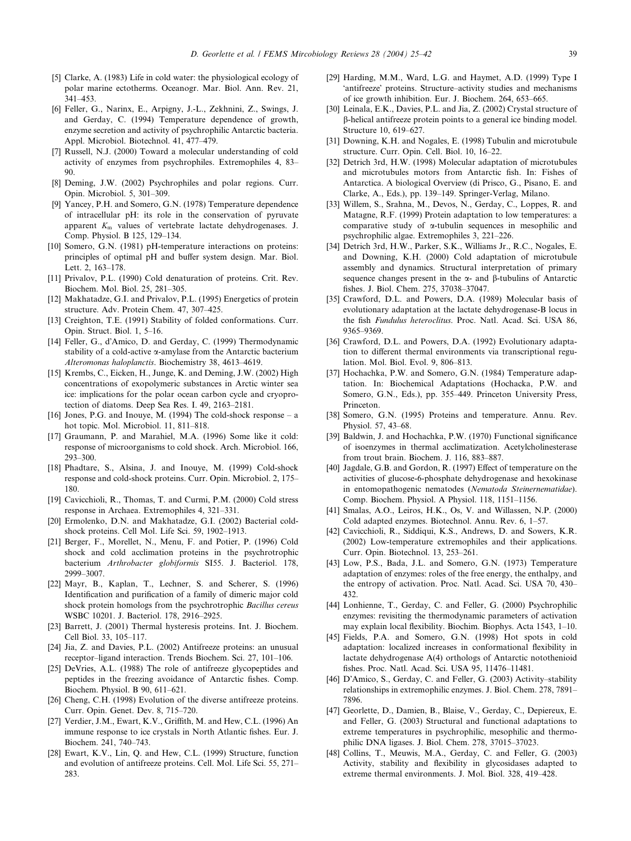- [5] Clarke, A. (1983) Life in cold water: the physiological ecology of polar marine ectotherms. Oceanogr. Mar. Biol. Ann. Rev. 21, 341–453.
- [6] Feller, G., Narinx, E., Arpigny, J.-L., Zekhnini, Z., Swings, J. and Gerday, C. (1994) Temperature dependence of growth, enzyme secretion and activity of psychrophilic Antarctic bacteria. Appl. Microbiol. Biotechnol. 41, 477–479.
- [7] Russell, N.J. (2000) Toward a molecular understanding of cold activity of enzymes from psychrophiles. Extremophiles 4, 83–  $90^{\circ}$
- [8] Deming, J.W. (2002) Psychrophiles and polar regions. Curr. Opin. Microbiol. 5, 301–309.
- [9] Yancey, P.H. and Somero, G.N. (1978) Temperature dependence of intracellular pH: its role in the conservation of pyruvate apparent  $K<sub>m</sub>$  values of vertebrate lactate dehydrogenases. J. Comp. Physiol. B 125, 129–134.
- [10] Somero, G.N. (1981) pH-temperature interactions on proteins: principles of optimal pH and buffer system design. Mar. Biol. Lett. 2, 163–178.
- [11] Privalov, P.L. (1990) Cold denaturation of proteins. Crit. Rev. Biochem. Mol. Biol. 25, 281–305.
- [12] Makhatadze, G.I. and Privalov, P.L. (1995) Energetics of protein structure. Adv. Protein Chem. 47, 307–425.
- [13] Creighton, T.E. (1991) Stability of folded conformations. Curr. Opin. Struct. Biol. 1, 5–16.
- [14] Feller, G., d'Amico, D. and Gerday, C. (1999) Thermodynamic stability of a cold-active a-amylase from the Antarctic bacterium Alteromonas haloplanctis. Biochemistry 38, 4613–4619.
- [15] Krembs, C., Eicken, H., Junge, K. and Deming, J.W. (2002) High concentrations of exopolymeric substances in Arctic winter sea ice: implications for the polar ocean carbon cycle and cryoprotection of diatoms. Deep Sea Res. I. 49, 2163–2181.
- [16] Jones, P.G. and Inouye, M. (1994) The cold-shock response a hot topic. Mol. Microbiol. 11, 811–818.
- [17] Graumann, P. and Marahiel, M.A. (1996) Some like it cold: response of microorganisms to cold shock. Arch. Microbiol. 166, 293–300.
- [18] Phadtare, S., Alsina, J. and Inouye, M. (1999) Cold-shock response and cold-shock proteins. Curr. Opin. Microbiol. 2, 175– 180.
- [19] Cavicchioli, R., Thomas, T. and Curmi, P.M. (2000) Cold stress response in Archaea. Extremophiles 4, 321–331.
- [20] Ermolenko, D.N. and Makhatadze, G.I. (2002) Bacterial coldshock proteins. Cell Mol. Life Sci. 59, 1902–1913.
- [21] Berger, F., Morellet, N., Menu, F. and Potier, P. (1996) Cold shock and cold acclimation proteins in the psychrotrophic bacterium Arthrobacter globiformis SI55. J. Bacteriol. 178, 2999–3007.
- [22] Mayr, B., Kaplan, T., Lechner, S. and Scherer, S. (1996) Identification and purification of a family of dimeric major cold shock protein homologs from the psychrotrophic Bacillus cereus WSBC 10201. J. Bacteriol. 178, 2916–2925.
- [23] Barrett, J. (2001) Thermal hysteresis proteins. Int. J. Biochem. Cell Biol. 33, 105–117.
- [24] Jia, Z. and Davies, P.L. (2002) Antifreeze proteins: an unusual receptor–ligand interaction. Trends Biochem. Sci. 27, 101–106.
- [25] DeVries, A.L. (1988) The role of antifreeze glycopeptides and peptides in the freezing avoidance of Antarctic fishes. Comp. Biochem. Physiol. B 90, 611–621.
- [26] Cheng, C.H. (1998) Evolution of the diverse antifreeze proteins. Curr. Opin. Genet. Dev. 8, 715–720.
- [27] Verdier, J.M., Ewart, K.V., Griffith, M. and Hew, C.L. (1996) An immune response to ice crystals in North Atlantic fishes. Eur. J. Biochem. 241, 740–743.
- [28] Ewart, K.V., Lin, O. and Hew, C.L. (1999) Structure, function and evolution of antifreeze proteins. Cell. Mol. Life Sci. 55, 271– 283.
- [29] Harding, M.M., Ward, L.G. and Haymet, A.D. (1999) Type I 'antifreeze' proteins. Structure-activity studies and mechanisms of ice growth inhibition. Eur. J. Biochem. 264, 653–665.
- [30] Leinala, E.K., Davies, P.L. and Jia, Z. (2002) Crystal structure of b-helical antifreeze protein points to a general ice binding model. Structure 10, 619–627.
- [31] Downing, K.H. and Nogales, E. (1998) Tubulin and microtubule structure. Curr. Opin. Cell. Biol. 10, 16–22.
- [32] Detrich 3rd, H.W. (1998) Molecular adaptation of microtubules and microtubules motors from Antarctic fish. In: Fishes of Antarctica. A biological Overview (di Prisco, G., Pisano, E. and Clarke, A., Eds.), pp. 139–149. Springer-Verlag, Milano.
- [33] Willem, S., Srahna, M., Devos, N., Gerday, C., Loppes, R. and Matagne, R.F. (1999) Protein adaptation to low temperatures: a comparative study of  $\alpha$ -tubulin sequences in mesophilic and psychrophilic algae. Extremophiles 3, 221–226.
- [34] Detrich 3rd, H.W., Parker, S.K., Williams Jr., R.C., Nogales, E. and Downing, K.H. (2000) Cold adaptation of microtubule assembly and dynamics. Structural interpretation of primary sequence changes present in the  $\alpha$ - and  $\beta$ -tubulins of Antarctic fishes. J. Biol. Chem. 275, 37038–37047.
- [35] Crawford, D.L. and Powers, D.A. (1989) Molecular basis of evolutionary adaptation at the lactate dehydrogenase-B locus in the fish Fundulus heteroclitus. Proc. Natl. Acad. Sci. USA 86, 9365–9369.
- [36] Crawford, D.L. and Powers, D.A. (1992) Evolutionary adaptation to different thermal environments via transcriptional regulation. Mol. Biol. Evol. 9, 806–813.
- [37] Hochachka, P.W. and Somero, G.N. (1984) Temperature adaptation. In: Biochemical Adaptations (Hochacka, P.W. and Somero, G.N., Eds.), pp. 355–449. Princeton University Press, Princeton.
- [38] Somero, G.N. (1995) Proteins and temperature. Annu. Rev. Physiol. 57, 43–68.
- [39] Baldwin, J. and Hochachka, P.W. (1970) Functional significance of isoenzymes in thermal acclimatization. Acetylcholinesterase from trout brain. Biochem. J. 116, 883–887.
- [40] Jagdale, G.B. and Gordon, R. (1997) Effect of temperature on the activities of glucose-6-phosphate dehydrogenase and hexokinase in entomopathogenic nematodes (Nematoda Steinernematidae). Comp. Biochem. Physiol. A Physiol. 118, 1151–1156.
- [41] Smalas, A.O., Leiros, H.K., Os, V. and Willassen, N.P. (2000) Cold adapted enzymes. Biotechnol. Annu. Rev. 6, 1–57.
- [42] Cavicchioli, R., Siddiqui, K.S., Andrews, D. and Sowers, K.R. (2002) Low-temperature extremophiles and their applications. Curr. Opin. Biotechnol. 13, 253–261.
- [43] Low, P.S., Bada, J.L. and Somero, G.N. (1973) Temperature adaptation of enzymes: roles of the free energy, the enthalpy, and the entropy of activation. Proc. Natl. Acad. Sci. USA 70, 430– 432.
- [44] Lonhienne, T., Gerday, C. and Feller, G. (2000) Psychrophilic enzymes: revisiting the thermodynamic parameters of activation may explain local flexibility. Biochim. Biophys. Acta 1543, 1–10.
- [45] Fields, P.A. and Somero, G.N. (1998) Hot spots in cold adaptation: localized increases in conformational flexibility in lactate dehydrogenase A(4) orthologs of Antarctic notothenioid fishes. Proc. Natl. Acad. Sci. USA 95, 11476–11481.
- [46] D'Amico, S., Gerday, C. and Feller, G. (2003) Activity–stability relationships in extremophilic enzymes. J. Biol. Chem. 278, 7891– 7896.
- [47] Georlette, D., Damien, B., Blaise, V., Gerday, C., Depiereux, E. and Feller, G. (2003) Structural and functional adaptations to extreme temperatures in psychrophilic, mesophilic and thermophilic DNA ligases. J. Biol. Chem. 278, 37015–37023.
- [48] Collins, T., Meuwis, M.A., Gerday, C. and Feller, G. (2003) Activity, stability and flexibility in glycosidases adapted to extreme thermal environments. J. Mol. Biol. 328, 419–428.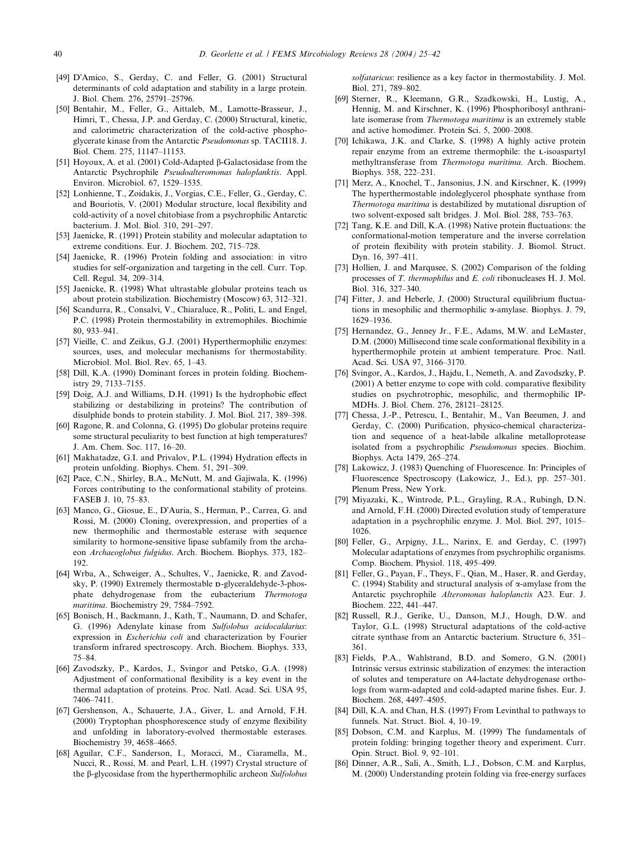- [49] D'Amico, S., Gerday, C. and Feller, G. (2001) Structural determinants of cold adaptation and stability in a large protein. J. Biol. Chem. 276, 25791–25796.
- [50] Bentahir, M., Feller, G., Aittaleb, M., Lamotte-Brasseur, J., Himri, T., Chessa, J.P. and Gerday, C. (2000) Structural, kinetic, and calorimetric characterization of the cold-active phosphoglycerate kinase from the Antarctic Pseudomonas sp. TACII18. J. Biol. Chem. 275, 11147–11153.
- [51] Hoyoux, A. et al. (2001) Cold-Adapted  $\beta$ -Galactosidase from the Antarctic Psychrophile Pseudoalteromonas haloplanktis. Appl. Environ. Microbiol. 67, 1529–1535.
- [52] Lonhienne, T., Zoidakis, J., Vorgias, C.E., Feller, G., Gerday, C. and Bouriotis, V. (2001) Modular structure, local flexibility and cold-activity of a novel chitobiase from a psychrophilic Antarctic bacterium. J. Mol. Biol. 310, 291–297.
- [53] Jaenicke, R. (1991) Protein stability and molecular adaptation to extreme conditions. Eur. J. Biochem. 202, 715–728.
- [54] Jaenicke, R. (1996) Protein folding and association: in vitro studies for self-organization and targeting in the cell. Curr. Top. Cell. Regul. 34, 209–314.
- [55] Jaenicke, R. (1998) What ultrastable globular proteins teach us about protein stabilization. Biochemistry (Moscow) 63, 312–321.
- [56] Scandurra, R., Consalvi, V., Chiaraluce, R., Politi, L. and Engel, P.C. (1998) Protein thermostability in extremophiles. Biochimie 80, 933–941.
- [57] Vieille, C. and Zeikus, G.J. (2001) Hyperthermophilic enzymes: sources, uses, and molecular mechanisms for thermostability. Microbiol. Mol. Biol. Rev. 65, 1–43.
- [58] Dill, K.A. (1990) Dominant forces in protein folding. Biochemistry 29, 7133–7155.
- [59] Doig, A.J. and Williams, D.H. (1991) Is the hydrophobic effect stabilizing or destabilizing in proteins? The contribution of disulphide bonds to protein stability. J. Mol. Biol. 217, 389–398.
- [60] Ragone, R. and Colonna, G. (1995) Do globular proteins require some structural peculiarity to best function at high temperatures? J. Am. Chem. Soc. 117, 16–20.
- [61] Makhatadze, G.I. and Privalov, P.L. (1994) Hydration effects in protein unfolding. Biophys. Chem. 51, 291–309.
- [62] Pace, C.N., Shirley, B.A., McNutt, M. and Gajiwala, K. (1996) Forces contributing to the conformational stability of proteins. FASEB J. 10, 75–83.
- [63] Manco, G., Giosue, E., D'Auria, S., Herman, P., Carrea, G. and Rossi, M. (2000) Cloning, overexpression, and properties of a new thermophilic and thermostable esterase with sequence similarity to hormone-sensitive lipase subfamily from the archaeon Archaeoglobus fulgidus. Arch. Biochem. Biophys. 373, 182– 192.
- [64] Wrba, A., Schweiger, A., Schultes, V., Jaenicke, R. and Zavodsky, P. (1990) Extremely thermostable D-glyceraldehyde-3-phosphate dehydrogenase from the eubacterium Thermotoga maritima. Biochemistry 29, 7584–7592.
- [65] Bonisch, H., Backmann, J., Kath, T., Naumann, D. and Schafer, G. (1996) Adenylate kinase from Sulfolobus acidocaldarius: expression in Escherichia coli and characterization by Fourier transform infrared spectroscopy. Arch. Biochem. Biophys. 333, 75–84.
- [66] Zavodszky, P., Kardos, J., Svingor and Petsko, G.A. (1998) Adjustment of conformational flexibility is a key event in the thermal adaptation of proteins. Proc. Natl. Acad. Sci. USA 95, 7406–7411.
- [67] Gershenson, A., Schauerte, J.A., Giver, L. and Arnold, F.H. (2000) Tryptophan phosphorescence study of enzyme flexibility and unfolding in laboratory-evolved thermostable esterases. Biochemistry 39, 4658–4665.
- [68] Aguilar, C.F., Sanderson, I., Moracci, M., Ciaramella, M., Nucci, R., Rossi, M. and Pearl, L.H. (1997) Crystal structure of the B-glycosidase from the hyperthermophilic archeon Sulfolobus

solfataricus: resilience as a key factor in thermostability. J. Mol. Biol. 271, 789–802.

- [69] Sterner, R., Kleemann, G.R., Szadkowski, H., Lustig, A., Hennig, M. and Kirschner, K. (1996) Phosphoribosyl anthranilate isomerase from Thermotoga maritima is an extremely stable and active homodimer. Protein Sci. 5, 2000–2008.
- [70] Ichikawa, J.K. and Clarke, S. (1998) A highly active protein repair enzyme from an extreme thermophile: the L-isoaspartyl methyltransferase from Thermotoga maritima. Arch. Biochem. Biophys. 358, 222–231.
- [71] Merz, A., Knochel, T., Jansonius, J.N. and Kirschner, K. (1999) The hyperthermostable indoleglycerol phosphate synthase from Thermotoga maritima is destabilized by mutational disruption of two solvent-exposed salt bridges. J. Mol. Biol. 288, 753–763.
- [72] Tang, K.E. and Dill, K.A. (1998) Native protein fluctuations: the conformational-motion temperature and the inverse correlation of protein flexibility with protein stability. J. Biomol. Struct. Dyn. 16, 397–411.
- [73] Hollien, J. and Marqusee, S. (2002) Comparison of the folding processes of T. thermophilus and E. coli ribonucleases H. J. Mol. Biol. 316, 327–340.
- [74] Fitter, J. and Heberle, J. (2000) Structural equilibrium fluctuations in mesophilic and thermophilic a-amylase. Biophys. J. 79, 1629–1936.
- [75] Hernandez, G., Jenney Jr., F.E., Adams, M.W. and LeMaster, D.M. (2000) Millisecond time scale conformational flexibility in a hyperthermophile protein at ambient temperature. Proc. Natl. Acad. Sci. USA 97, 3166–3170.
- [76] Svingor, A., Kardos, J., Hajdu, I., Nemeth, A. and Zavodszky, P. (2001) A better enzyme to cope with cold. comparative flexibility studies on psychrotrophic, mesophilic, and thermophilic IP-MDHs. J. Biol. Chem. 276, 28121–28125.
- [77] Chessa, J.-P., Petrescu, I., Bentahir, M., Van Beeumen, J. and Gerday, C. (2000) Purification, physico-chemical characterization and sequence of a heat-labile alkaline metalloprotease isolated from a psychrophilic Pseudomonas species. Biochim. Biophys. Acta 1479, 265–274.
- [78] Lakowicz, J. (1983) Quenching of Fluorescence. In: Principles of Fluorescence Spectroscopy (Lakowicz, J., Ed.), pp. 257–301. Plenum Press, New York.
- [79] Miyazaki, K., Wintrode, P.L., Grayling, R.A., Rubingh, D.N. and Arnold, F.H. (2000) Directed evolution study of temperature adaptation in a psychrophilic enzyme. J. Mol. Biol. 297, 1015– 1026.
- [80] Feller, G., Arpigny, J.L., Narinx, E. and Gerday, C. (1997) Molecular adaptations of enzymes from psychrophilic organisms. Comp. Biochem. Physiol. 118, 495–499.
- [81] Feller, G., Payan, F., Theys, F., Qian, M., Haser, R. and Gerday, C. (1994) Stability and structural analysis of  $\alpha$ -amylase from the Antarctic psychrophile Alteromonas haloplanctis A23. Eur. J. Biochem. 222, 441–447.
- [82] Russell, R.J., Gerike, U., Danson, M.J., Hough, D.W. and Taylor, G.L. (1998) Structural adaptations of the cold-active citrate synthase from an Antarctic bacterium. Structure 6, 351– 361.
- [83] Fields, P.A., Wahlstrand, B.D. and Somero, G.N. (2001) Intrinsic versus extrinsic stabilization of enzymes: the interaction of solutes and temperature on A4-lactate dehydrogenase orthologs from warm-adapted and cold-adapted marine fishes. Eur. J. Biochem. 268, 4497–4505.
- [84] Dill, K.A. and Chan, H.S. (1997) From Levinthal to pathways to funnels. Nat. Struct. Biol. 4, 10–19.
- [85] Dobson, C.M. and Karplus, M. (1999) The fundamentals of protein folding: bringing together theory and experiment. Curr. Opin. Struct. Biol. 9, 92–101.
- [86] Dinner, A.R., Sali, A., Smith, L.J., Dobson, C.M. and Karplus, M. (2000) Understanding protein folding via free-energy surfaces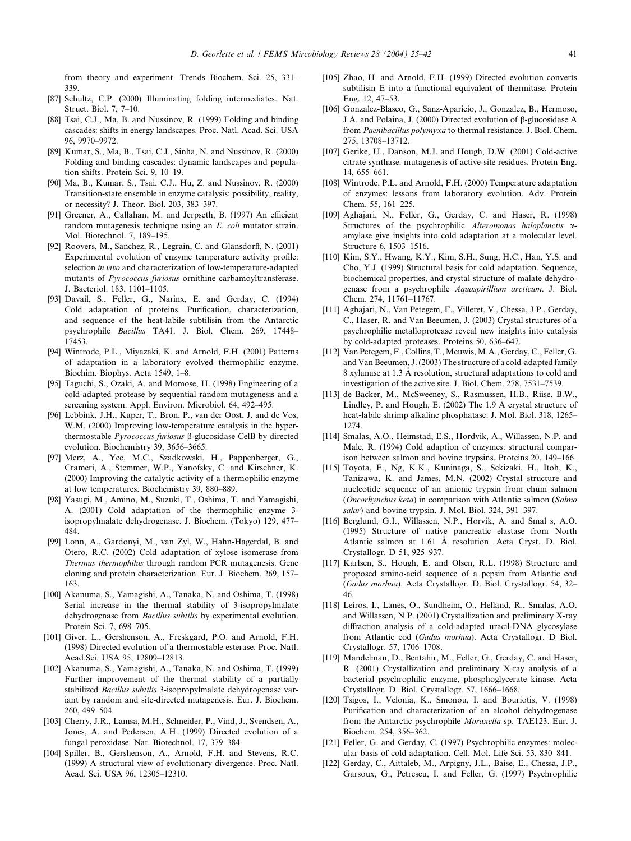from theory and experiment. Trends Biochem. Sci. 25, 331– 339.

- [87] Schultz, C.P. (2000) Illuminating folding intermediates. Nat. Struct. Biol. 7, 7–10.
- [88] Tsai, C.J., Ma, B. and Nussinov, R. (1999) Folding and binding cascades: shifts in energy landscapes. Proc. Natl. Acad. Sci. USA 96, 9970–9972.
- [89] Kumar, S., Ma, B., Tsai, C.J., Sinha, N. and Nussinov, R. (2000) Folding and binding cascades: dynamic landscapes and population shifts. Protein Sci. 9, 10–19.
- [90] Ma, B., Kumar, S., Tsai, C.J., Hu, Z. and Nussinov, R. (2000) Transition-state ensemble in enzyme catalysis: possibility, reality, or necessity? J. Theor. Biol. 203, 383–397.
- [91] Greener, A., Callahan, M. and Jerpseth, B. (1997) An efficient random mutagenesis technique using an E. coli mutator strain. Mol. Biotechnol. 7, 189–195.
- [92] Roovers, M., Sanchez, R., Legrain, C. and Glansdorff, N. (2001) Experimental evolution of enzyme temperature activity profile: selection in vivo and characterization of low-temperature-adapted mutants of Pyrococcus furiosus ornithine carbamoyltransferase. J. Bacteriol. 183, 1101–1105.
- [93] Davail, S., Feller, G., Narinx, E. and Gerday, C. (1994) Cold adaptation of proteins. Purification, characterization, and sequence of the heat-labile subtilisin from the Antarctic psychrophile Bacillus TA41. J. Biol. Chem. 269, 17448– 17453.
- [94] Wintrode, P.L., Miyazaki, K. and Arnold, F.H. (2001) Patterns of adaptation in a laboratory evolved thermophilic enzyme. Biochim. Biophys. Acta 1549, 1–8.
- [95] Taguchi, S., Ozaki, A. and Momose, H. (1998) Engineering of a cold-adapted protease by sequential random mutagenesis and a screening system. Appl. Environ. Microbiol. 64, 492–495.
- [96] Lebbink, J.H., Kaper, T., Bron, P., van der Oost, J. and de Vos, W.M. (2000) Improving low-temperature catalysis in the hyperthermostable Pyrococcus furiosus b-glucosidase CelB by directed evolution. Biochemistry 39, 3656–3665.
- [97] Merz, A., Yee, M.C., Szadkowski, H., Pappenberger, G., Crameri, A., Stemmer, W.P., Yanofsky, C. and Kirschner, K. (2000) Improving the catalytic activity of a thermophilic enzyme at low temperatures. Biochemistry 39, 880–889.
- [98] Yasugi, M., Amino, M., Suzuki, T., Oshima, T. and Yamagishi, A. (2001) Cold adaptation of the thermophilic enzyme 3 isopropylmalate dehydrogenase. J. Biochem. (Tokyo) 129, 477– 484.
- [99] Lonn, A., Gardonyi, M., van Zyl, W., Hahn-Hagerdal, B. and Otero, R.C. (2002) Cold adaptation of xylose isomerase from Thermus thermophilus through random PCR mutagenesis. Gene cloning and protein characterization. Eur. J. Biochem. 269, 157– 163.
- [100] Akanuma, S., Yamagishi, A., Tanaka, N. and Oshima, T. (1998) Serial increase in the thermal stability of 3-isopropylmalate dehydrogenase from Bacillus subtilis by experimental evolution. Protein Sci. 7, 698–705.
- [101] Giver, L., Gershenson, A., Freskgard, P.O. and Arnold, F.H. (1998) Directed evolution of a thermostable esterase. Proc. Natl. Acad.Sci. USA 95, 12809–12813.
- [102] Akanuma, S., Yamagishi, A., Tanaka, N. and Oshima, T. (1999) Further improvement of the thermal stability of a partially stabilized Bacillus subtilis 3-isopropylmalate dehydrogenase variant by random and site-directed mutagenesis. Eur. J. Biochem. 260, 499–504.
- [103] Cherry, J.R., Lamsa, M.H., Schneider, P., Vind, J., Svendsen, A., Jones, A. and Pedersen, A.H. (1999) Directed evolution of a fungal peroxidase. Nat. Biotechnol. 17, 379–384.
- [104] Spiller, B., Gershenson, A., Arnold, F.H. and Stevens, R.C. (1999) A structural view of evolutionary divergence. Proc. Natl. Acad. Sci. USA 96, 12305–12310.
- [105] Zhao, H. and Arnold, F.H. (1999) Directed evolution converts subtilisin E into a functional equivalent of thermitase. Protein Eng. 12, 47–53.
- [106] Gonzalez-Blasco, G., Sanz-Aparicio, J., Gonzalez, B., Hermoso, J.A. and Polaina, J. (2000) Directed evolution of  $\beta$ -glucosidase A from Paenibacillus polymyxa to thermal resistance. J. Biol. Chem. 275, 13708–13712.
- [107] Gerike, U., Danson, M.J. and Hough, D.W. (2001) Cold-active citrate synthase: mutagenesis of active-site residues. Protein Eng. 14, 655–661.
- [108] Wintrode, P.L. and Arnold, F.H. (2000) Temperature adaptation of enzymes: lessons from laboratory evolution. Adv. Protein Chem. 55, 161–225.
- [109] Aghajari, N., Feller, G., Gerday, C. and Haser, R. (1998) Structures of the psychrophilic Alteromonas haloplanctis  $\alpha$ amylase give insights into cold adaptation at a molecular level. Structure 6, 1503–1516.
- [110] Kim, S.Y., Hwang, K.Y., Kim, S.H., Sung, H.C., Han, Y.S. and Cho, Y.J. (1999) Structural basis for cold adaptation. Sequence, biochemical properties, and crystal structure of malate dehydrogenase from a psychrophile Aquaspirillium arcticum. J. Biol. Chem. 274, 11761–11767.
- [111] Aghajari, N., Van Petegem, F., Villeret, V., Chessa, J.P., Gerday, C., Haser, R. and Van Beeumen, J. (2003) Crystal structures of a psychrophilic metalloprotease reveal new insights into catalysis by cold-adapted proteases. Proteins 50, 636–647.
- [112] Van Petegem, F., Collins, T., Meuwis, M.A., Gerday, C., Feller, G. and Van Beeumen, J. (2003) The structure of a cold-adapted family 8 xylanase at 1.3 Å resolution, structural adaptations to cold and investigation of the active site. J. Biol. Chem. 278, 7531–7539.
- [113] de Backer, M., McSweeney, S., Rasmussen, H.B., Riise, B.W., Lindley, P. and Hough, E. (2002) The 1.9  $\AA$  crystal structure of heat-labile shrimp alkaline phosphatase. J. Mol. Biol. 318, 1265– 1274.
- [114] Smalas, A.O., Heimstad, E.S., Hordvik, A., Willassen, N.P. and Male, R. (1994) Cold adaption of enzymes: structural comparison between salmon and bovine trypsins. Proteins 20, 149–166.
- [115] Toyota, E., Ng, K.K., Kuninaga, S., Sekizaki, H., Itoh, K., Tanizawa, K. and James, M.N. (2002) Crystal structure and nucleotide sequence of an anionic trypsin from chum salmon (Oncorhynchus keta) in comparison with Atlantic salmon (Salmo salar) and bovine trypsin. J. Mol. Biol. 324, 391–397.
- [116] Berglund, G.I., Willassen, N.P., Horvik, A. and Smal s, A.O. (1995) Structure of native pancreatic elastase from North Atlantic salmon at 1.61 Å resolution. Acta Cryst. D. Biol. Crystallogr. D 51, 925–937.
- [117] Karlsen, S., Hough, E. and Olsen, R.L. (1998) Structure and proposed amino-acid sequence of a pepsin from Atlantic cod (Gadus morhua). Acta Crystallogr. D. Biol. Crystallogr. 54, 32– 46.
- [118] Leiros, I., Lanes, O., Sundheim, O., Helland, R., Smalas, A.O. and Willassen, N.P. (2001) Crystallization and preliminary X-ray diffraction analysis of a cold-adapted uracil-DNA glycosylase from Atlantic cod (Gadus morhua). Acta Crystallogr. D Biol. Crystallogr. 57, 1706–1708.
- [119] Mandelman, D., Bentahir, M., Feller, G., Gerday, C. and Haser, R. (2001) Crystallization and preliminary X-ray analysis of a bacterial psychrophilic enzyme, phosphoglycerate kinase. Acta Crystallogr. D. Biol. Crystallogr. 57, 1666–1668.
- [120] Tsigos, I., Velonia, K., Smonou, I. and Bouriotis, V. (1998) Purification and characterization of an alcohol dehydrogenase from the Antarctic psychrophile Moraxella sp. TAE123. Eur. J. Biochem. 254, 356–362.
- [121] Feller, G. and Gerday, C. (1997) Psychrophilic enzymes: molecular basis of cold adaptation. Cell. Mol. Life Sci. 53, 830–841.
- [122] Gerday, C., Aittaleb, M., Arpigny, J.L., Baise, E., Chessa, J.P., Garsoux, G., Petrescu, I. and Feller, G. (1997) Psychrophilic